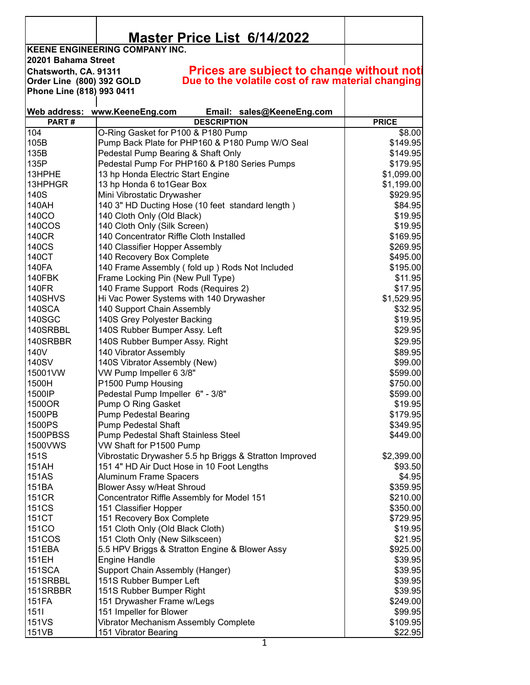|                           | <b>Master Price List 6/14/2022</b>                                               |                     |
|---------------------------|----------------------------------------------------------------------------------|---------------------|
|                           | <b>KEENE ENGINEERING COMPANY INC.</b>                                            |                     |
| 20201 Bahama Street       |                                                                                  |                     |
| Chatsworth, CA. 91311     | <b>Prices are subject to change without noti</b>                                 |                     |
| Order Line (800) 392 GOLD | Due to the volatile cost of raw material changing                                |                     |
| Phone Line (818) 993 0411 |                                                                                  |                     |
|                           | Web address: www.KeeneEng.com<br>Email: sales@KeeneEng.com                       |                     |
| PART#                     | <b>DESCRIPTION</b>                                                               | <b>PRICE</b>        |
| 104                       | O-Ring Gasket for P100 & P180 Pump                                               | \$8.00              |
| 105B                      | Pump Back Plate for PHP160 & P180 Pump W/O Seal                                  | \$149.95            |
| 135B                      | Pedestal Pump Bearing & Shaft Only                                               | \$149.95            |
| 135P                      | Pedestal Pump For PHP160 & P180 Series Pumps                                     | \$179.95            |
| 13HPHE                    | 13 hp Honda Electric Start Engine                                                | \$1,099.00          |
| 13HPHGR                   | 13 hp Honda 6 to 1 Gear Box                                                      | \$1,199.00          |
| 140S                      | Mini Vibrostatic Drywasher                                                       | \$929.95            |
| 140AH                     | 140 3" HD Ducting Hose (10 feet standard length)                                 | \$84.95             |
| 140CO                     | 140 Cloth Only (Old Black)                                                       | \$19.95             |
| 140COS                    | 140 Cloth Only (Silk Screen)                                                     | \$19.95             |
| 140CR                     | 140 Concentrator Riffle Cloth Installed                                          | \$169.95            |
| 140CS                     | 140 Classifier Hopper Assembly                                                   | \$269.95            |
| 140CT                     | 140 Recovery Box Complete                                                        | \$495.00            |
| <b>140FA</b>              | 140 Frame Assembly (fold up) Rods Not Included                                   | \$195.00            |
| 140FBK                    | Frame Locking Pin (New Pull Type)                                                | \$11.95             |
| <b>140FR</b>              | 140 Frame Support Rods (Requires 2)                                              | \$17.95             |
| 140SHVS                   | Hi Vac Power Systems with 140 Drywasher                                          | \$1,529.95          |
| <b>140SCA</b>             | 140 Support Chain Assembly                                                       | \$32.95             |
| <b>140SGC</b>             | 140S Grey Polyester Backing                                                      | \$19.95             |
| 140SRBBL                  | 140S Rubber Bumper Assy. Left                                                    | \$29.95             |
| 140SRBBR                  | 140S Rubber Bumper Assy. Right                                                   | \$29.95             |
| 140V                      | 140 Vibrator Assembly                                                            | \$89.95             |
| 140SV                     | 140S Vibrator Assembly (New)                                                     | \$99.00             |
| 15001VW                   | VW Pump Impeller 6 3/8"                                                          | \$599.00            |
| 1500H                     | P1500 Pump Housing                                                               | \$750.00            |
| 1500IP                    | Pedestal Pump Impeller 6" - 3/8"                                                 | \$599.00            |
| 1500OR                    | Pump O Ring Gasket                                                               | \$19.95             |
| 1500PB                    | <b>Pump Pedestal Bearing</b>                                                     | \$179.95            |
| 1500PS                    | Pump Pedestal Shaft                                                              | \$349.95            |
| <b>1500PBSS</b>           | Pump Pedestal Shaft Stainless Steel                                              | \$449.00            |
| 1500VWS                   | VW Shaft for P1500 Pump                                                          |                     |
| 151S                      | Vibrostatic Drywasher 5.5 hp Briggs & Stratton Improved                          | \$2,399.00          |
| 151AH                     | 151 4" HD Air Duct Hose in 10 Foot Lengths                                       | \$93.50             |
| 151AS                     | <b>Aluminum Frame Spacers</b>                                                    | \$4.95              |
| 151BA                     | Blower Assy w/Heat Shroud                                                        | \$359.95            |
| <b>151CR</b>              | Concentrator Riffle Assembly for Model 151                                       | \$210.00            |
| <b>151CS</b>              | 151 Classifier Hopper                                                            | \$350.00            |
| 151CT                     | 151 Recovery Box Complete                                                        | \$729.95            |
| <b>151CO</b>              | 151 Cloth Only (Old Black Cloth)                                                 | \$19.95             |
| <b>151COS</b>             | 151 Cloth Only (New Silksceen)<br>5.5 HPV Briggs & Stratton Engine & Blower Assy | \$21.95<br>\$925.00 |
| 151EBA<br>151EH           | <b>Engine Handle</b>                                                             | \$39.95             |
| <b>151SCA</b>             | Support Chain Assembly (Hanger)                                                  | \$39.95             |
| 151SRBBL                  | 151S Rubber Bumper Left                                                          | \$39.95             |
| 151SRBBR                  | 151S Rubber Bumper Right                                                         | \$39.95             |
| 151FA                     | 151 Drywasher Frame w/Legs                                                       | \$249.00            |
| 1511                      | 151 Impeller for Blower                                                          | \$99.95             |
| 151VS                     | Vibrator Mechanism Assembly Complete                                             | \$109.95            |
| 151VB                     | 151 Vibrator Bearing                                                             | \$22.95             |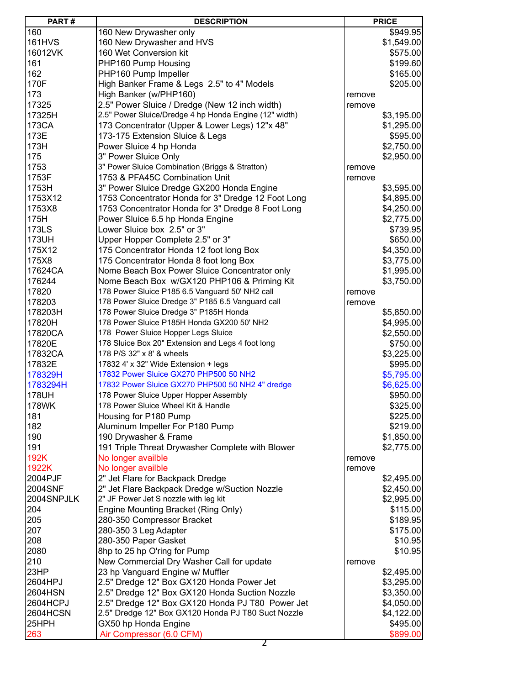| PART#         | <b>DESCRIPTION</b>                                     |        | <b>PRICE</b> |
|---------------|--------------------------------------------------------|--------|--------------|
| 160           | 160 New Drywasher only                                 |        | \$949.95     |
| <b>161HVS</b> | 160 New Drywasher and HVS                              |        | \$1,549.00   |
| 16012VK       | 160 Wet Conversion kit                                 |        | \$575.00     |
| 161           | PHP160 Pump Housing                                    |        | \$199.60     |
| 162           | PHP160 Pump Impeller                                   |        | \$165.00     |
| 170F          |                                                        |        |              |
|               | High Banker Frame & Legs 2.5" to 4" Models             |        | \$205.00     |
| 173           | High Banker (w/PHP160)                                 | remove |              |
| 17325         | 2.5" Power Sluice / Dredge (New 12 inch width)         | remove |              |
| 17325H        | 2.5" Power Sluice/Dredge 4 hp Honda Engine (12" width) |        | \$3,195.00   |
| 173CA         | 173 Concentrator (Upper & Lower Legs) 12"x 48"         |        | \$1,295.00   |
| 173E          | 173-175 Extension Sluice & Legs                        |        | \$595.00     |
| 173H          | Power Sluice 4 hp Honda                                |        | \$2,750.00   |
| 175           | 3" Power Sluice Only                                   |        | \$2,950.00   |
| 1753          | 3" Power Sluice Combination (Briggs & Stratton)        | remove |              |
| 1753F         | 1753 & PFA45C Combination Unit                         | remove |              |
| 1753H         | 3" Power Sluice Dredge GX200 Honda Engine              |        | \$3,595.00   |
| 1753X12       | 1753 Concentrator Honda for 3" Dredge 12 Foot Long     |        | \$4,895.00   |
| 1753X8        | 1753 Concentrator Honda for 3" Dredge 8 Foot Long      |        | \$4,250.00   |
| 175H          | Power Sluice 6.5 hp Honda Engine                       |        | \$2,775.00   |
| 173LS         | Lower Sluice box 2.5" or 3"                            |        | \$739.95     |
| 173UH         | Upper Hopper Complete 2.5" or 3"                       |        | \$650.00     |
| 175X12        | 175 Concentrator Honda 12 foot long Box                |        | \$4,350.00   |
| 175X8         | 175 Concentrator Honda 8 foot long Box                 |        | \$3,775.00   |
| 17624CA       | Nome Beach Box Power Sluice Concentrator only          |        | \$1,995.00   |
| 176244        | Nome Beach Box w/GX120 PHP106 & Priming Kit            |        | \$3,750.00   |
| 17820         | 178 Power Sluice P185 6.5 Vanguard 50' NH2 call        |        |              |
|               |                                                        | remove |              |
| 178203        | 178 Power Sluice Dredge 3" P185 6.5 Vanguard call      | remove |              |
| 178203H       | 178 Power Sluice Dredge 3" P185H Honda                 |        | \$5,850.00   |
| 17820H        | 178 Power Sluice P185H Honda GX200 50' NH2             |        | \$4,995.00   |
| 17820CA       | 178 Power Sluice Hopper Legs Sluice                    |        | \$2,550.00   |
| 17820E        | 178 Sluice Box 20" Extension and Legs 4 foot long      |        | \$750.00     |
| 17832CA       | 178 P/S 32" x 8' & wheels                              |        | \$3,225.00   |
| 17832E        | 17832 4' x 32" Wide Extension + legs                   |        | \$995.00     |
| 178329H       | 17832 Power Sluice GX270 PHP500 50 NH2                 |        | \$5,795.00   |
| 1783294H      | 17832 Power Sluice GX270 PHP500 50 NH2 4" dredge       |        | \$6,625.00   |
| 178UH         | 178 Power Sluice Upper Hopper Assembly                 |        | \$950.00     |
| 178WK         | 178 Power Sluice Wheel Kit & Handle                    |        | \$325.00     |
| 181           | Housing for P180 Pump                                  |        | \$225.00     |
| 182           | Aluminum Impeller For P180 Pump                        |        | \$219.00     |
| 190           | 190 Drywasher & Frame                                  |        | \$1,850.00   |
| 191           | 191 Triple Threat Drywasher Complete with Blower       |        | \$2,775.00   |
| 192K          | No longer availble                                     | remove |              |
| 1922K         | No longer availble                                     | remove |              |
| 2004PJF       | 2" Jet Flare for Backpack Dredge                       |        | \$2,495.00   |
| 2004SNF       | 2" Jet Flare Backpack Dredge w/Suction Nozzle          |        | \$2,450.00   |
| 2004SNPJLK    | 2" JF Power Jet S nozzle with leg kit                  |        | \$2,995.00   |
| 204           | Engine Mounting Bracket (Ring Only)                    |        | \$115.00     |
| 205           | 280-350 Compressor Bracket                             |        | \$189.95     |
| 207           | 280-350 3 Leg Adapter                                  |        |              |
|               |                                                        |        | \$175.00     |
| 208           | 280-350 Paper Gasket                                   |        | \$10.95      |
| 2080          | 8hp to 25 hp O'ring for Pump                           |        | \$10.95      |
| 210           | New Commercial Dry Washer Call for update              | remove |              |
| 23HP          | 23 hp Vanguard Engine w/ Muffler                       |        | \$2,495.00   |
| 2604HPJ       | 2.5" Dredge 12" Box GX120 Honda Power Jet              |        | \$3,295.00   |
| 2604HSN       | 2.5" Dredge 12" Box GX120 Honda Suction Nozzle         |        | \$3,350.00   |
| 2604HCPJ      | 2.5" Dredge 12" Box GX120 Honda PJ T80 Power Jet       |        | \$4,050.00   |
| 2604HCSN      | 2.5" Dredge 12" Box GX120 Honda PJ T80 Suct Nozzle     |        | \$4,122.00   |
| 25HPH         | GX50 hp Honda Engine                                   |        | \$495.00     |
| 263           | Air Compressor (6.0 CFM)                               |        | \$899.00     |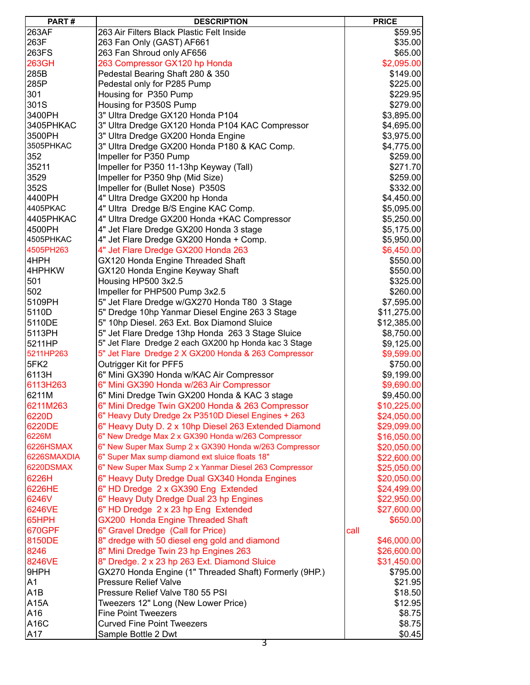| PART#            | <b>DESCRIPTION</b>                                     | <b>PRICE</b> |
|------------------|--------------------------------------------------------|--------------|
| 263AF            | 263 Air Filters Black Plastic Felt Inside              | \$59.95      |
| 263F             | 263 Fan Only (GAST) AF661                              | \$35.00      |
| 263FS            | 263 Fan Shroud only AF656                              | \$65.00      |
| 263GH            | 263 Compressor GX120 hp Honda                          | \$2,095.00   |
| 285B             | Pedestal Bearing Shaft 280 & 350                       | \$149.00     |
| 285P             | Pedestal only for P285 Pump                            | \$225.00     |
| 301              | Housing for P350 Pump                                  | \$229.95     |
| 301S             | Housing for P350S Pump                                 | \$279.00     |
| 3400PH           | 3" Ultra Dredge GX120 Honda P104                       | \$3,895.00   |
| 3405PHKAC        | 3" Ultra Dredge GX120 Honda P104 KAC Compressor        | \$4,695.00   |
| 3500PH           | 3" Ultra Dredge GX200 Honda Engine                     |              |
|                  |                                                        | \$3,975.00   |
| 3505PHKAC        | 3" Ultra Dredge GX200 Honda P180 & KAC Comp.           | \$4,775.00   |
| 352              | Impeller for P350 Pump                                 | \$259.00     |
| 35211            | Impeller for P350 11-13hp Keyway (Tall)                | \$271.70     |
| 3529             | Impeller for P350 9hp (Mid Size)                       | \$259.00     |
| 352S             | Impeller for (Bullet Nose) P350S                       | \$332.00     |
| 4400PH           | 4" Ultra Dredge GX200 hp Honda                         | \$4,450.00   |
| 4405PKAC         | 4" Ultra Dredge B/S Engine KAC Comp.                   | \$5,095.00   |
| 4405PHKAC        | 4" Ultra Dredge GX200 Honda +KAC Compressor            | \$5,250.00   |
| 4500PH           | 4" Jet Flare Dredge GX200 Honda 3 stage                | \$5,175.00   |
| 4505PHKAC        | 4" Jet Flare Dredge GX200 Honda + Comp.                | \$5,950.00   |
| 4505PH263        | 4" Jet Flare Dredge GX200 Honda 263                    | \$6,450.00   |
| 4HPH             | GX120 Honda Engine Threaded Shaft                      | \$550.00     |
| 4HPHKW           | GX120 Honda Engine Keyway Shaft                        | \$550.00     |
| 501              | Housing HP500 3x2.5                                    | \$325.00     |
| 502              | Impeller for PHP500 Pump 3x2.5                         | \$260.00     |
| 5109PH           | 5" Jet Flare Dredge w/GX270 Honda T80 3 Stage          | \$7,595.00   |
| 5110D            | 5" Dredge 10hp Yanmar Diesel Engine 263 3 Stage        | \$11,275.00  |
| 5110DE           | 5" 10hp Diesel. 263 Ext. Box Diamond Sluice            | \$12,385.00  |
| 5113PH           | 5" Jet Flare Dredge 13hp Honda 263 3 Stage Sluice      | \$8,750.00   |
| 5211HP           | 5" Jet Flare Dredge 2 each GX200 hp Honda kac 3 Stage  | \$9,125.00   |
| 5211HP263        | 5" Jet Flare Dredge 2 X GX200 Honda & 263 Compressor   | \$9,599.00   |
| 5FK2             | Outrigger Kit for PFF5                                 | \$750.00     |
| 6113H            | 6" Mini GX390 Honda w/KAC Air Compressor               | \$9,199.00   |
| 6113H263         | 6" Mini GX390 Honda w/263 Air Compressor               | \$9,690.00   |
| 6211M            | 6" Mini Dredge Twin GX200 Honda & KAC 3 stage          | \$9,450.00   |
| 6211M263         | 6" Mini Dredge Twin GX200 Honda & 263 Compressor       | \$10,225.00  |
| 6220D            | 6" Heavy Duty Dredge 2x P3510D Diesel Engines + 263    | \$24,050.00  |
| 6220DE           | 6" Heavy Duty D. 2 x 10hp Diesel 263 Extended Diamond  | \$29,099.00  |
| 6226M            | 6" New Dredge Max 2 x GX390 Honda w/263 Compressor     | \$16,050.00  |
| 6226HSMAX        | 6" New Super Max Sump 2 x GX390 Honda w/263 Compressor | \$20,050.00  |
| 6226SMAXDIA      | 6" Super Max sump diamond ext sluice floats 18"        |              |
| 6220DSMAX        | 6" New Super Max Sump 2 x Yanmar Diesel 263 Compressor | \$22,600.00  |
|                  |                                                        | \$25,050.00  |
| 6226H            | 6" Heavy Duty Dredge Dual GX340 Honda Engines          | \$20,050.00  |
| 6226HE           | 6" HD Dredge 2 x GX390 Eng Extended                    | \$24,499.00  |
| 6246V            | 6" Heavy Duty Dredge Dual 23 hp Engines                | \$22,950.00  |
| 6246VE           | 6" HD Dredge 2 x 23 hp Eng Extended                    | \$27,600.00  |
| <b>65HPH</b>     | GX200 Honda Engine Threaded Shaft                      | \$650.00     |
| <b>670GPF</b>    | 6" Gravel Dredge (Call for Price)                      | call         |
| 8150DE           | 8" dredge with 50 diesel eng gold and diamond          | \$46,000.00  |
| 8246             | 8" Mini Dredge Twin 23 hp Engines 263                  | \$26,600.00  |
| 8246VE           | 8" Dredge. 2 x 23 hp 263 Ext. Diamond Sluice           | \$31,450.00  |
| 9HPH             | GX270 Honda Engine (1" Threaded Shaft) Formerly (9HP.) | \$795.00     |
| A <sub>1</sub>   | <b>Pressure Relief Valve</b>                           | \$21.95      |
| A <sub>1</sub> B | Pressure Relief Valve T80 55 PSI                       | \$18.50      |
| A15A             | Tweezers 12" Long (New Lower Price)                    | \$12.95      |
| A16              | <b>Fine Point Tweezers</b>                             | \$8.75       |
| A16C             | <b>Curved Fine Point Tweezers</b>                      | \$8.75       |
| A17              | Sample Bottle 2 Dwt                                    | \$0.45       |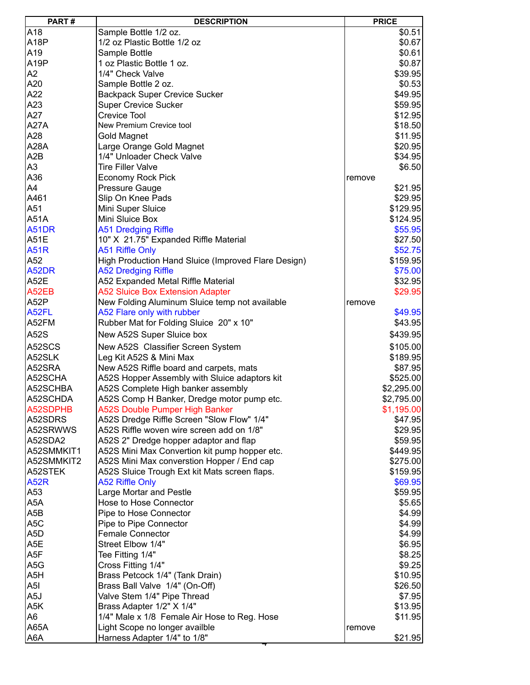| PART#             | <b>DESCRIPTION</b>                                  | <b>PRICE</b>      |
|-------------------|-----------------------------------------------------|-------------------|
| A18               | Sample Bottle 1/2 oz.                               | \$0.51            |
| A <sub>18</sub> P | 1/2 oz Plastic Bottle 1/2 oz                        | \$0.67            |
| A19               | Sample Bottle                                       | \$0.61            |
| A <sub>19</sub> P | 1 oz Plastic Bottle 1 oz.                           | \$0.87            |
| A <sub>2</sub>    | 1/4" Check Valve                                    | \$39.95           |
| A20               | Sample Bottle 2 oz.                                 | \$0.53            |
| A22               | <b>Backpack Super Crevice Sucker</b>                | \$49.95           |
| A23               | <b>Super Crevice Sucker</b>                         | \$59.95           |
| A27               | <b>Crevice Tool</b>                                 | \$12.95           |
| <b>A27A</b>       | New Premium Crevice tool                            | \$18.50           |
| A28               | Gold Magnet                                         | \$11.95           |
| <b>A28A</b>       | Large Orange Gold Magnet                            | \$20.95           |
| A <sub>2</sub> B  | 1/4" Unloader Check Valve                           | \$34.95           |
| A <sub>3</sub>    | <b>Tire Filler Valve</b>                            | \$6.50            |
| A36               | <b>Economy Rock Pick</b>                            |                   |
| A4                | Pressure Gauge                                      | remove<br>\$21.95 |
| A461              | Slip On Knee Pads                                   | \$29.95           |
| A51               |                                                     |                   |
|                   | Mini Super Sluice                                   | \$129.95          |
| <b>A51A</b>       | Mini Sluice Box                                     | \$124.95          |
| <b>A51DR</b>      | <b>A51 Dredging Riffle</b>                          | \$55.95           |
| <b>A51E</b>       | 10" X 21.75" Expanded Riffle Material               | \$27.50           |
| <b>A51R</b>       | <b>A51 Riffle Only</b>                              | \$52.75           |
| A52               | High Production Hand Sluice (Improved Flare Design) | \$159.95          |
| A52DR             | <b>A52 Dredging Riffle</b>                          | \$75.00           |
| A52E              | A52 Expanded Metal Riffle Material                  | \$32.95           |
| A52EB             | A52 Sluice Box Extension Adapter                    | \$29.95           |
| A52P              | New Folding Aluminum Sluice temp not available      | remove            |
| A52FL             | A52 Flare only with rubber                          | \$49.95           |
| A52FM             | Rubber Mat for Folding Sluice 20" x 10"             | \$43.95           |
| A52S              | New A52S Super Sluice box                           | \$439.95          |
| A52SCS            | New A52S Classifier Screen System                   | \$105.00          |
| A52SLK            | Leg Kit A52S & Mini Max                             | \$189.95          |
| A52SRA            | New A52S Riffle board and carpets, mats             | \$87.95           |
| A52SCHA           | A52S Hopper Assembly with Sluice adaptors kit       | \$525.00          |
| A52SCHBA          | A52S Complete High banker assembly                  | \$2,295.00        |
| A52SCHDA          | A52S Comp H Banker, Dredge motor pump etc.          | \$2,795.00        |
| A52SDPHB          | <b>A52S Double Pumper High Banker</b>               | \$1,195.00        |
| A52SDRS           | A52S Dredge Riffle Screen "Slow Flow" 1/4"          | \$47.95           |
| A52SRWWS          | A52S Riffle woven wire screen add on 1/8"           | \$29.95           |
| A52SDA2           | A52S 2" Dredge hopper adaptor and flap              | \$59.95           |
| A52SMMKIT1        | A52S Mini Max Convertion kit pump hopper etc.       | \$449.95          |
| A52SMMKIT2        | A52S Mini Max converstion Hopper / End cap          | \$275.00          |
| A52STEK           | A52S Sluice Trough Ext kit Mats screen flaps.       | \$159.95          |
| <b>A52R</b>       | <b>A52 Riffle Only</b>                              | \$69.95           |
| A53               |                                                     |                   |
| A <sub>5</sub> A  | Large Mortar and Pestle                             | \$59.95           |
| A <sub>5</sub> B  | Hose to Hose Connector<br>Pipe to Hose Connector    | \$5.65            |
|                   |                                                     | \$4.99            |
| A <sub>5</sub> C  | Pipe to Pipe Connector                              | \$4.99            |
| A <sub>5</sub> D  | <b>Female Connector</b>                             | \$4.99            |
| A <sub>5</sub> E  | Street Elbow 1/4"                                   | \$6.95            |
| A5F               | Tee Fitting 1/4"                                    | \$8.25            |
| A <sub>5</sub> G  | Cross Fitting 1/4"                                  | \$9.25            |
| A <sub>5</sub> H  | Brass Petcock 1/4" (Tank Drain)                     | \$10.95           |
| A <sub>5</sub> I  | Brass Ball Valve 1/4" (On-Off)                      | \$26.50           |
| A <sub>5</sub> J  | Valve Stem 1/4" Pipe Thread                         | \$7.95            |
| A <sub>5</sub> K  | Brass Adapter 1/2" X 1/4"                           | \$13.95           |
| A6                | 1/4" Male x 1/8 Female Air Hose to Reg. Hose        | \$11.95           |
| A65A              | Light Scope no longer availble                      | remove            |
| A6A               | Harness Adapter 1/4" to 1/8"                        | \$21.95           |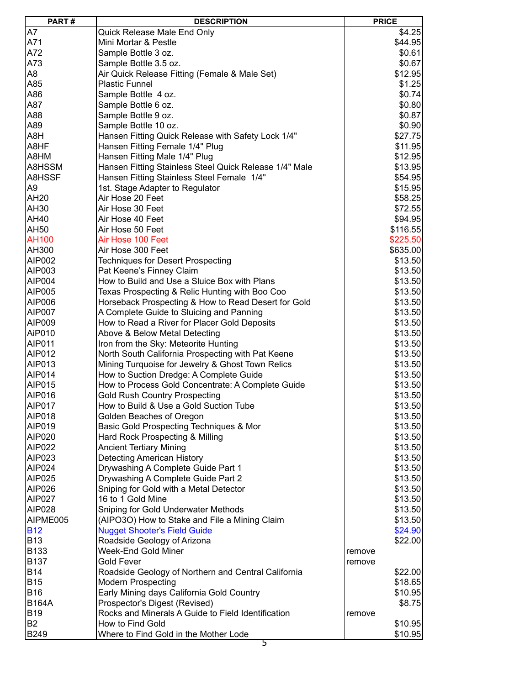| PART#          | <b>DESCRIPTION</b>                                     | <b>PRICE</b>      |
|----------------|--------------------------------------------------------|-------------------|
| A7             | Quick Release Male End Only                            | \$4.25            |
| A71            | Mini Mortar & Pestle                                   | \$44.95           |
| A72            | Sample Bottle 3 oz.                                    | \$0.61            |
| A73            | Sample Bottle 3.5 oz.                                  | \$0.67            |
| A8             | Air Quick Release Fitting (Female & Male Set)          | \$12.95           |
| A85            | <b>Plastic Funnel</b>                                  | \$1.25            |
| A86            | Sample Bottle 4 oz.                                    | \$0.74            |
| A87            |                                                        |                   |
|                | Sample Bottle 6 oz.                                    | \$0.80            |
| A88            | Sample Bottle 9 oz.                                    | \$0.87            |
| A89            | Sample Bottle 10 oz.                                   | \$0.90            |
| A8H            | Hansen Fitting Quick Release with Safety Lock 1/4"     | \$27.75           |
| A8HF           | Hansen Fitting Female 1/4" Plug                        | \$11.95           |
| A8HM           | Hansen Fitting Male 1/4" Plug                          | \$12.95           |
| A8HSSM         | Hansen Fitting Stainless Steel Quick Release 1/4" Male | \$13.95           |
| A8HSSF         | Hansen Fitting Stainless Steel Female 1/4"             | \$54.95           |
| A9             | 1st. Stage Adapter to Regulator                        | \$15.95           |
| AH20           | Air Hose 20 Feet                                       | \$58.25           |
| AH30           | Air Hose 30 Feet                                       | \$72.55           |
| AH40           | Air Hose 40 Feet                                       | \$94.95           |
| AH50           | Air Hose 50 Feet                                       | \$116.55          |
| <b>AH100</b>   | Air Hose 100 Feet                                      | \$225.50          |
| AH300          | Air Hose 300 Feet                                      | \$635.00          |
| AIP002         | <b>Techniques for Desert Prospecting</b>               | \$13.50           |
| AIP003         | Pat Keene's Finney Claim                               | \$13.50           |
| AIP004         | How to Build and Use a Sluice Box with Plans           | \$13.50           |
| AIP005         | Texas Prospecting & Relic Hunting with Boo Coo         | \$13.50           |
| AIP006         | Horseback Prospecting & How to Read Desert for Gold    | \$13.50           |
| <b>AIP007</b>  | A Complete Guide to Sluicing and Panning               | \$13.50           |
| AIP009         | How to Read a River for Placer Gold Deposits           | \$13.50           |
| AiP010         | Above & Below Metal Detecting                          | \$13.50           |
| AIP011         | Iron from the Sky: Meteorite Hunting                   | \$13.50           |
| AIP012         |                                                        | \$13.50           |
| AIP013         | North South California Prospecting with Pat Keene      |                   |
|                | Mining Turquoise for Jewelry & Ghost Town Relics       | \$13.50           |
| AIP014         | How to Suction Dredge: A Complete Guide                | \$13.50           |
| AIP015         | How to Process Gold Concentrate: A Complete Guide      | \$13.50           |
| AIP016         | <b>Gold Rush Country Prospecting</b>                   | \$13.50           |
| <b>AIP017</b>  | How to Build & Use a Gold Suction Tube                 | \$13.50           |
| AIP018         | Golden Beaches of Oregon                               | \$13.50           |
| AIP019         | Basic Gold Prospecting Techniques & Mor                | \$13.50           |
| AIP020         | Hard Rock Prospecting & Milling                        | \$13.50           |
| AIP022         | <b>Ancient Tertiary Mining</b>                         | \$13.50           |
| AIP023         | <b>Detecting American History</b>                      | \$13.50           |
| AIP024         | Drywashing A Complete Guide Part 1                     | \$13.50           |
| AIP025         | Drywashing A Complete Guide Part 2                     | \$13.50           |
| AIP026         | Sniping for Gold with a Metal Detector                 | \$13.50           |
| <b>AIP027</b>  | 16 to 1 Gold Mine                                      | \$13.50           |
| AIP028         | Sniping for Gold Underwater Methods                    | \$13.50           |
| AIPME005       | (AIPO3O) How to Stake and File a Mining Claim          | \$13.50           |
| <b>B12</b>     | <b>Nugget Shooter's Field Guide</b>                    | \$24.90           |
| <b>B13</b>     | Roadside Geology of Arizona                            | \$22.00           |
| <b>B133</b>    | Week-End Gold Miner                                    | remove            |
| <b>B137</b>    | Gold Fever                                             | remove            |
| <b>B14</b>     | Roadside Geology of Northern and Central California    | \$22.00           |
| <b>B15</b>     | <b>Modern Prospecting</b>                              | \$18.65           |
| <b>B16</b>     | Early Mining days California Gold Country              | \$10.95           |
| <b>B164A</b>   | Prospector's Digest (Revised)                          | \$8.75            |
| <b>B19</b>     | Rocks and Minerals A Guide to Field Identification     |                   |
| B <sub>2</sub> | How to Find Gold                                       | remove<br>\$10.95 |
| <b>B249</b>    | Where to Find Gold in the Mother Lode                  | \$10.95           |
|                |                                                        |                   |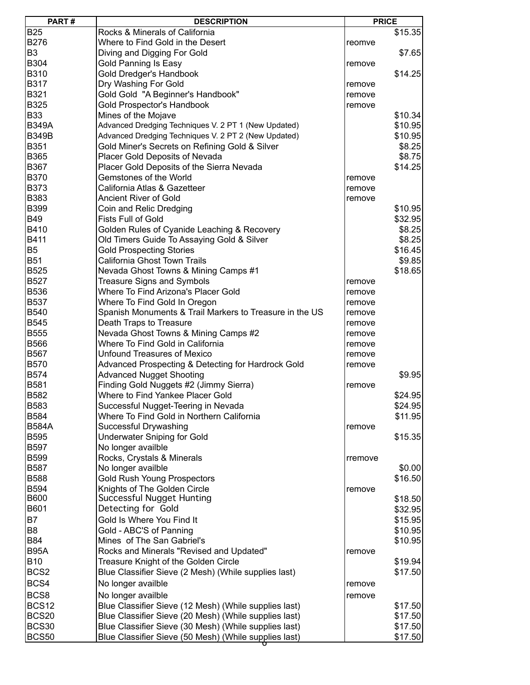| PART#            | <b>DESCRIPTION</b>                                      | <b>PRICE</b> |         |
|------------------|---------------------------------------------------------|--------------|---------|
| <b>B25</b>       | Rocks & Minerals of California                          |              | \$15.35 |
| B276             | Where to Find Gold in the Desert                        | reomve       |         |
| B <sub>3</sub>   | Diving and Digging For Gold                             |              | \$7.65  |
| B304             | Gold Panning Is Easy                                    | remove       |         |
| B310             | Gold Dredger's Handbook                                 |              | \$14.25 |
| B317             | Dry Washing For Gold                                    | remove       |         |
| B321             | Gold Gold "A Beginner's Handbook"                       | remove       |         |
| B325             | Gold Prospector's Handbook                              | remove       |         |
| <b>B33</b>       | Mines of the Mojave                                     |              | \$10.34 |
| <b>B349A</b>     | Advanced Dredging Techniques V. 2 PT 1 (New Updated)    |              | \$10.95 |
| <b>B349B</b>     | Advanced Dredging Techniques V. 2 PT 2 (New Updated)    |              | \$10.95 |
| B351             | Gold Miner's Secrets on Refining Gold & Silver          |              | \$8.25  |
| B365             | Placer Gold Deposits of Nevada                          |              | \$8.75  |
| B367             | Placer Gold Deposits of the Sierra Nevada               |              | \$14.25 |
| <b>B370</b>      | Gemstones of the World                                  | remove       |         |
| B373             | California Atlas & Gazetteer                            | remove       |         |
| B383             | <b>Ancient River of Gold</b>                            | remove       |         |
| B399             | Coin and Relic Dredging                                 |              | \$10.95 |
| <b>B49</b>       | <b>Fists Full of Gold</b>                               |              | \$32.95 |
| B410             | Golden Rules of Cyanide Leaching & Recovery             |              | \$8.25  |
| B411             | Old Timers Guide To Assaying Gold & Silver              |              | \$8.25  |
| B <sub>5</sub>   | <b>Gold Prospecting Stories</b>                         |              | \$16.45 |
| <b>B51</b>       | California Ghost Town Trails                            |              | \$9.85  |
| B525             |                                                         |              |         |
|                  | Nevada Ghost Towns & Mining Camps #1                    |              | \$18.65 |
| B527             | <b>Treasure Signs and Symbols</b>                       | remove       |         |
| B536             | Where To Find Arizona's Placer Gold                     | remove       |         |
| <b>B537</b>      | Where To Find Gold In Oregon                            | remove       |         |
| B540             | Spanish Monuments & Trail Markers to Treasure in the US | remove       |         |
| B545             | Death Traps to Treasure                                 | remove       |         |
| <b>B555</b>      | Nevada Ghost Towns & Mining Camps #2                    | remove       |         |
| B566             | Where To Find Gold in California                        | remove       |         |
| B567             | <b>Unfound Treasures of Mexico</b>                      | remove       |         |
| <b>B570</b>      | Advanced Prospecting & Detecting for Hardrock Gold      | remove       |         |
| B574             | <b>Advanced Nugget Shooting</b>                         |              | \$9.95  |
| B581             | Finding Gold Nuggets #2 (Jimmy Sierra)                  | remove       |         |
| B582             | Where to Find Yankee Placer Gold                        |              | \$24.95 |
| B583             | Successful Nugget-Teering in Nevada                     |              | \$24.95 |
| B584             | Where To Find Gold in Northern California               |              | \$11.95 |
| <b>B584A</b>     | Successful Drywashing                                   | remove       |         |
| <b>B595</b>      | <b>Underwater Sniping for Gold</b>                      |              | \$15.35 |
| B597             | No longer availble                                      |              |         |
| <b>B599</b>      | Rocks, Crystals & Minerals                              | rremove      |         |
| <b>B587</b>      | No longer availble                                      |              | \$0.00  |
| <b>B588</b>      | <b>Gold Rush Young Prospectors</b>                      |              | \$16.50 |
| B594             | Knights of The Golden Circle                            | remove       |         |
| <b>B600</b>      | Successful Nugget Hunting                               |              | \$18.50 |
| B601             | Detecting for Gold                                      |              | \$32.95 |
| <b>B7</b>        | Gold Is Where You Find It                               |              | \$15.95 |
| B <sub>8</sub>   | Gold - ABC'S of Panning                                 |              | \$10.95 |
| <b>B84</b>       | Mines of The San Gabriel's                              |              | \$10.95 |
| <b>B95A</b>      | Rocks and Minerals "Revised and Updated"                | remove       |         |
| <b>B10</b>       | Treasure Knight of the Golden Circle                    |              | \$19.94 |
| BCS <sub>2</sub> | Blue Classifier Sieve (2 Mesh) (While supplies last)    |              | \$17.50 |
| BCS4             | No longer availble                                      | remove       |         |
| BCS8             | No longer availble                                      | remove       |         |
| <b>BCS12</b>     | Blue Classifier Sieve (12 Mesh) (While supplies last)   |              | \$17.50 |
| <b>BCS20</b>     | Blue Classifier Sieve (20 Mesh) (While supplies last)   |              | \$17.50 |
| <b>BCS30</b>     | Blue Classifier Sieve (30 Mesh) (While supplies last)   |              | \$17.50 |
| <b>BCS50</b>     | Blue Classifier Sieve (50 Mesh) (While supplies last)   |              | \$17.50 |
|                  |                                                         |              |         |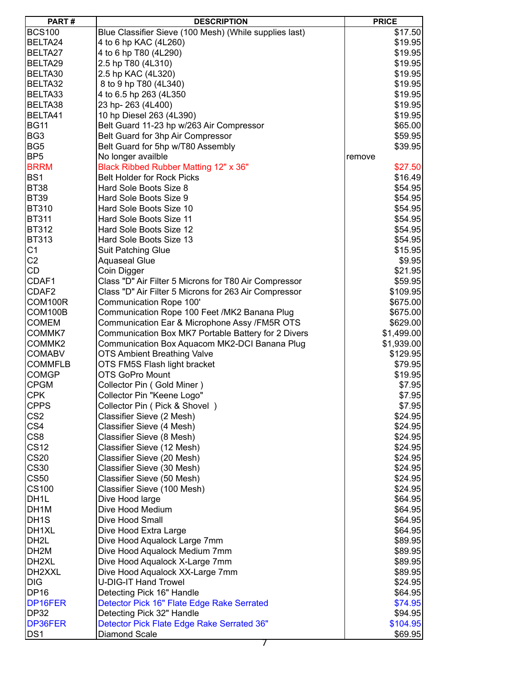| <b>BCS100</b><br>4 to 6 hp KAC (4L260)<br>BELTA24<br>4 to 6 hp T80 (4L290)<br>BELTA27<br>BELTA29<br>2.5 hp T80 (4L310)<br>BELTA30<br>2.5 hp KAC (4L320) | Blue Classifier Sieve (100 Mesh) (While supplies last) |        | \$17.50<br>\$19.95<br>\$19.95 |
|---------------------------------------------------------------------------------------------------------------------------------------------------------|--------------------------------------------------------|--------|-------------------------------|
|                                                                                                                                                         |                                                        |        |                               |
|                                                                                                                                                         |                                                        |        |                               |
|                                                                                                                                                         |                                                        |        |                               |
|                                                                                                                                                         |                                                        |        | \$19.95                       |
|                                                                                                                                                         |                                                        |        | \$19.95                       |
| BELTA32<br>8 to 9 hp T80 (4L340)                                                                                                                        |                                                        |        | \$19.95                       |
| BELTA33<br>4 to 6.5 hp 263 (4L350                                                                                                                       |                                                        |        | \$19.95                       |
| BELTA38<br>23 hp-263 (4L400)                                                                                                                            |                                                        |        | \$19.95                       |
| BELTA41<br>10 hp Diesel 263 (4L390)                                                                                                                     |                                                        |        | \$19.95                       |
| <b>BG11</b>                                                                                                                                             | Belt Guard 11-23 hp w/263 Air Compressor               |        | \$65.00                       |
| BG <sub>3</sub>                                                                                                                                         | Belt Guard for 3hp Air Compressor                      |        | \$59.95                       |
| BG <sub>5</sub>                                                                                                                                         | Belt Guard for 5hp w/T80 Assembly                      |        | \$39.95                       |
| BP <sub>5</sub><br>No longer availble                                                                                                                   |                                                        | remove |                               |
| <b>BRRM</b>                                                                                                                                             | Black Ribbed Rubber Matting 12" x 36"                  |        | \$27.50                       |
| BS <sub>1</sub><br><b>Belt Holder for Rock Picks</b>                                                                                                    |                                                        |        | \$16.49                       |
| <b>BT38</b><br>Hard Sole Boots Size 8                                                                                                                   |                                                        |        | \$54.95                       |
| <b>BT39</b><br>Hard Sole Boots Size 9                                                                                                                   |                                                        |        | \$54.95                       |
| <b>BT310</b><br>Hard Sole Boots Size 10                                                                                                                 |                                                        |        | \$54.95                       |
| <b>BT311</b><br>Hard Sole Boots Size 11                                                                                                                 |                                                        |        | \$54.95                       |
| <b>BT312</b><br>Hard Sole Boots Size 12                                                                                                                 |                                                        |        | \$54.95                       |
| <b>BT313</b><br>Hard Sole Boots Size 13                                                                                                                 |                                                        |        | \$54.95                       |
| C <sub>1</sub><br><b>Suit Patching Glue</b>                                                                                                             |                                                        |        | \$15.95                       |
| C <sub>2</sub><br><b>Aquaseal Glue</b>                                                                                                                  |                                                        |        | \$9.95                        |
| <b>CD</b><br>Coin Digger                                                                                                                                |                                                        |        | \$21.95                       |
| CDAF1                                                                                                                                                   | Class "D" Air Filter 5 Microns for T80 Air Compressor  |        | \$59.95                       |
| CDAF <sub>2</sub>                                                                                                                                       | Class "D" Air Filter 5 Microns for 263 Air Compressor  |        | \$109.95                      |
| COM100R<br>Communication Rope 100'                                                                                                                      |                                                        |        | \$675.00                      |
| COM100B                                                                                                                                                 | Communication Rope 100 Feet /MK2 Banana Plug           |        |                               |
| <b>COMEM</b>                                                                                                                                            |                                                        |        | \$675.00                      |
|                                                                                                                                                         | Communication Ear & Microphone Assy /FM5R OTS          |        | \$629.00                      |
| COMMK7                                                                                                                                                  | Communication Box MK7 Portable Battery for 2 Divers    |        | \$1,499.00                    |
| COMMK2                                                                                                                                                  | Communication Box Aquacom MK2-DCI Banana Plug          |        | \$1,939.00                    |
| <b>COMABV</b><br><b>COMMFLB</b>                                                                                                                         | <b>OTS Ambient Breathing Valve</b>                     |        | \$129.95                      |
|                                                                                                                                                         | OTS FM5S Flash light bracket                           |        | \$79.95                       |
| <b>COMGP</b><br><b>OTS GoPro Mount</b><br><b>CPGM</b>                                                                                                   |                                                        |        | \$19.95                       |
| Collector Pin (Gold Miner)                                                                                                                              |                                                        |        | \$7.95                        |
| <b>CPK</b><br>Collector Pin "Keene Logo"                                                                                                                |                                                        |        | \$7.95                        |
| <b>CPPS</b>                                                                                                                                             | Collector Pin ( Pick & Shovel )                        |        | \$7.95                        |
| CS <sub>2</sub><br>Classifier Sieve (2 Mesh)                                                                                                            |                                                        |        | \$24.95                       |
| CS4<br>Classifier Sieve (4 Mesh)                                                                                                                        |                                                        |        | \$24.95                       |
| CS <sub>8</sub><br>Classifier Sieve (8 Mesh)                                                                                                            |                                                        |        | \$24.95                       |
| <b>CS12</b><br>Classifier Sieve (12 Mesh)                                                                                                               |                                                        |        | \$24.95                       |
| <b>CS20</b><br>Classifier Sieve (20 Mesh)                                                                                                               |                                                        |        | \$24.95                       |
| <b>CS30</b><br>Classifier Sieve (30 Mesh)                                                                                                               |                                                        |        | \$24.95                       |
| <b>CS50</b><br>Classifier Sieve (50 Mesh)                                                                                                               |                                                        |        | \$24.95                       |
| <b>CS100</b><br>Classifier Sieve (100 Mesh)                                                                                                             |                                                        |        | \$24.95                       |
| DH <sub>1</sub> L<br>Dive Hood large                                                                                                                    |                                                        |        | \$64.95                       |
| DH1M<br>Dive Hood Medium                                                                                                                                |                                                        |        | \$64.95                       |
| DH <sub>1</sub> S<br>Dive Hood Small                                                                                                                    |                                                        |        | \$64.95                       |
| DH1XL<br>Dive Hood Extra Large                                                                                                                          |                                                        |        | \$64.95                       |
| DH <sub>2</sub> L                                                                                                                                       | Dive Hood Aqualock Large 7mm                           |        | \$89.95                       |
| DH <sub>2M</sub>                                                                                                                                        | Dive Hood Aqualock Medium 7mm                          |        | \$89.95                       |
| DH <sub>2XL</sub>                                                                                                                                       | Dive Hood Aqualock X-Large 7mm                         |        | \$89.95                       |
| DH2XXL                                                                                                                                                  | Dive Hood Aqualock XX-Large 7mm                        |        | \$89.95                       |
| <b>DIG</b><br><b>U-DIG-IT Hand Trowel</b>                                                                                                               |                                                        |        | \$24.95                       |
| <b>DP16</b><br>Detecting Pick 16" Handle                                                                                                                |                                                        |        | \$64.95                       |
| DP16FER                                                                                                                                                 | Detector Pick 16" Flate Edge Rake Serrated             |        | \$74.95                       |
| <b>DP32</b><br>Detecting Pick 32" Handle                                                                                                                |                                                        |        | \$94.95                       |
| DP36FER                                                                                                                                                 | Detector Pick Flate Edge Rake Serrated 36"             |        | \$104.95                      |
| DS <sub>1</sub><br>Diamond Scale                                                                                                                        | $\prime$                                               |        | \$69.95                       |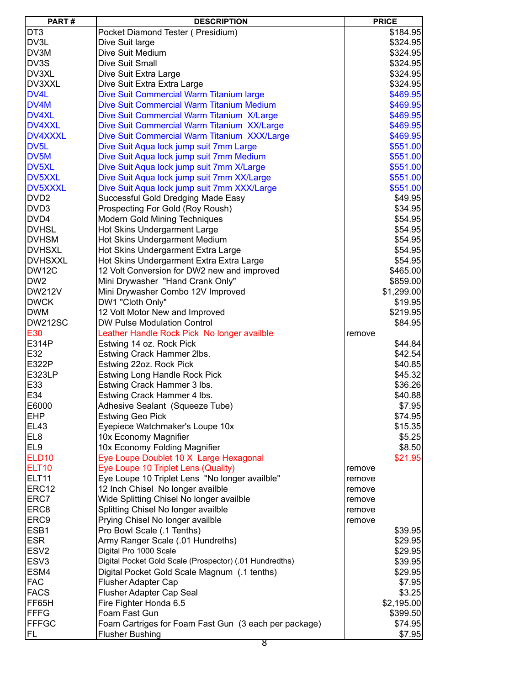| PART#             | <b>DESCRIPTION</b>                                      |        | <b>PRICE</b> |
|-------------------|---------------------------------------------------------|--------|--------------|
| DT <sub>3</sub>   | Pocket Diamond Tester (Presidium)                       |        | \$184.95     |
| DV3L              | Dive Suit large                                         |        | \$324.95     |
| DV3M              | Dive Suit Medium                                        |        | \$324.95     |
| DV3S              | Dive Suit Small                                         |        | \$324.95     |
| DV3XL             | Dive Suit Extra Large                                   |        | \$324.95     |
| DV3XXL            | Dive Suit Extra Extra Large                             |        | \$324.95     |
| DV4L              | Dive Suit Commercial Warm Titanium large                |        | \$469.95     |
| DV4M              | Dive Suit Commercial Warm Titanium Medium               |        | \$469.95     |
| <b>DV4XL</b>      | Dive Suit Commercial Warm Titanium X/Large              |        | \$469.95     |
| DV4XXL            | Dive Suit Commercial Warm Titanium XX/Large             |        | \$469.95     |
| DV4XXXL           | Dive Suit Commercial Warm Titanium XXX/Large            |        | \$469.95     |
| DV <sub>5</sub> L | Dive Suit Aqua lock jump suit 7mm Large                 |        | \$551.00     |
| DV5M              | Dive Suit Aqua lock jump suit 7mm Medium                |        | \$551.00     |
| DV5XL             | Dive Suit Aqua lock jump suit 7mm X/Large               |        | \$551.00     |
| DV5XXL            |                                                         |        | \$551.00     |
| DV5XXXL           | Dive Suit Aqua lock jump suit 7mm XX/Large              |        |              |
| DVD <sub>2</sub>  | Dive Suit Aqua lock jump suit 7mm XXX/Large             |        | \$551.00     |
|                   | Successful Gold Dredging Made Easy                      |        | \$49.95      |
| DVD3              | Prospecting For Gold (Roy Roush)                        |        | \$34.95      |
| DVD4              | <b>Modern Gold Mining Techniques</b>                    |        | \$54.95      |
| <b>DVHSL</b>      | Hot Skins Undergarment Large                            |        | \$54.95      |
| <b>IDVHSM</b>     | Hot Skins Undergarment Medium                           |        | \$54.95      |
| IDVHSXL           | Hot Skins Undergarment Extra Large                      |        | \$54.95      |
| <b>DVHSXXL</b>    | Hot Skins Undergarment Extra Extra Large                |        | \$54.95      |
| DW12C             | 12 Volt Conversion for DW2 new and improved             |        | \$465.00     |
| DW <sub>2</sub>   | Mini Drywasher "Hand Crank Only"                        |        | \$859.00     |
| <b>DW212V</b>     | Mini Drywasher Combo 12V Improved                       |        | \$1,299.00   |
| <b>DWCK</b>       | DW1 "Cloth Only"                                        |        | \$19.95      |
| <b>DWM</b>        | 12 Volt Motor New and Improved                          |        | \$219.95     |
| <b>DW212SC</b>    | <b>DW Pulse Modulation Control</b>                      |        | \$84.95      |
| E30               | Leather Handle Rock Pick No longer availble             | remove |              |
| E314P             | Estwing 14 oz. Rock Pick                                |        | \$44.84      |
| E32               | Estwing Crack Hammer 2lbs.                              |        | \$42.54      |
| E322P             | Estwing 22oz. Rock Pick                                 |        | \$40.85      |
| E323LP            | <b>Estwing Long Handle Rock Pick</b>                    |        | \$45.32      |
| E33               | Estwing Crack Hammer 3 lbs.                             |        | \$36.26      |
| E34               | Estwing Crack Hammer 4 lbs.                             |        | \$40.88      |
| E6000             | Adhesive Sealant (Squeeze Tube)                         |        | \$7.95       |
| <b>EHP</b>        | <b>Estwing Geo Pick</b>                                 |        | \$74.95      |
| EL <sub>43</sub>  | Eyepiece Watchmaker's Loupe 10x                         |        | \$15.35      |
| EL <sub>8</sub>   | 10x Economy Magnifier                                   |        | \$5.25       |
| EL <sub>9</sub>   | 10x Economy Folding Magnifier                           |        | \$8.50       |
| <b>ELD10</b>      | Eye Loupe Doublet 10 X Large Hexagonal                  |        | \$21.95      |
| ELT <sub>10</sub> | Eye Loupe 10 Triplet Lens (Quality)                     | remove |              |
| ELT <sub>11</sub> | Eye Loupe 10 Triplet Lens "No longer availble"          | remove |              |
| ERC <sub>12</sub> | 12 Inch Chisel No longer availble                       | remove |              |
| ERC7              | Wide Splitting Chisel No longer availble                | remove |              |
| ERC8              | Splitting Chisel No longer availble                     | remove |              |
| ERC9              | Prying Chisel No longer availble                        | remove |              |
| ESB <sub>1</sub>  | Pro Bowl Scale (.1 Tenths)                              |        | \$39.95      |
| <b>ESR</b>        | Army Ranger Scale (.01 Hundreths)                       |        | \$29.95      |
| ESV <sub>2</sub>  | Digital Pro 1000 Scale                                  |        | \$29.95      |
| ESV <sub>3</sub>  | Digital Pocket Gold Scale (Prospector) (.01 Hundredths) |        | \$39.95      |
| ESM4              | Digital Pocket Gold Scale Magnum (.1 tenths)            |        | \$29.95      |
| <b>FAC</b>        | <b>Flusher Adapter Cap</b>                              |        | \$7.95       |
| <b>FACS</b>       | Flusher Adapter Cap Seal                                |        | \$3.25       |
| FF65H             | Fire Fighter Honda 6.5                                  |        | \$2,195.00   |
| <b>FFFG</b>       | Foam Fast Gun                                           |        | \$399.50     |
| <b>FFFGC</b>      | Foam Cartriges for Foam Fast Gun (3 each per package)   |        | \$74.95      |
| FL                | <b>Flusher Bushing</b>                                  |        | \$7.95       |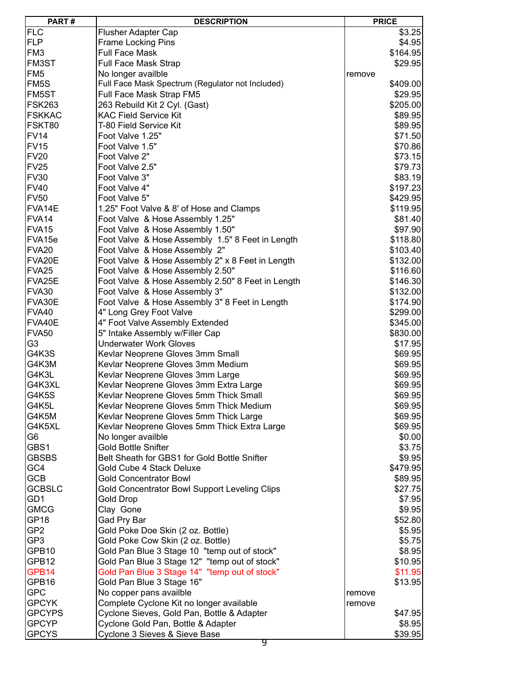| PART#              | <b>DESCRIPTION</b>                                | <b>PRICE</b> |
|--------------------|---------------------------------------------------|--------------|
| FLC                | Flusher Adapter Cap                               | \$3.25       |
| <b>FLP</b>         | Frame Locking Pins                                | \$4.95       |
| FM <sub>3</sub>    | <b>Full Face Mask</b>                             | \$164.95     |
| FM3ST              | <b>Full Face Mask Strap</b>                       | \$29.95      |
| FM <sub>5</sub>    | No longer availble                                | remove       |
| FM <sub>5</sub> S  | Full Face Mask Spectrum (Regulator not Included)  | \$409.00     |
| FM5ST              | Full Face Mask Strap FM5                          |              |
| <b>FSK263</b>      |                                                   | \$29.95      |
|                    | 263 Rebuild Kit 2 Cyl. (Gast)                     | \$205.00     |
| <b>FSKKAC</b>      | <b>KAC Field Service Kit</b>                      | \$89.95      |
| FSKT80             | T-80 Field Service Kit                            | \$89.95      |
| <b>FV14</b>        | Foot Valve 1.25"                                  | \$71.50      |
| <b>FV15</b>        | Foot Valve 1.5"                                   | \$70.86      |
| <b>FV20</b>        | Foot Valve 2"                                     | \$73.15      |
| <b>FV25</b>        | Foot Valve 2.5"                                   | \$79.73      |
| <b>FV30</b>        | Foot Valve 3"                                     | \$83.19      |
| <b>FV40</b>        | Foot Valve 4"                                     | \$197.23     |
| <b>FV50</b>        | Foot Valve 5"                                     | \$429.95     |
| FVA14E             | 1.25" Foot Valve & 8' of Hose and Clamps          | \$119.95     |
| FVA14              | Foot Valve & Hose Assembly 1.25"                  | \$81.40      |
| FVA <sub>15</sub>  | Foot Valve & Hose Assembly 1.50"                  | \$97.90      |
| FVA <sub>15e</sub> | Foot Valve & Hose Assembly 1.5" 8 Feet in Length  | \$118.80     |
| FVA <sub>20</sub>  | Foot Valve & Hose Assembly 2"                     | \$103.40     |
| FVA20E             | Foot Valve & Hose Assembly 2" x 8 Feet in Length  | \$132.00     |
| FVA <sub>25</sub>  | Foot Valve & Hose Assembly 2.50"                  | \$116.60     |
| FVA25E             | Foot Valve & Hose Assembly 2.50" 8 Feet in Length | \$146.30     |
| <b>FVA30</b>       | Foot Valve & Hose Assembly 3"                     | \$132.00     |
| FVA30E             | Foot Valve & Hose Assembly 3" 8 Feet in Length    | \$174.90     |
| <b>FVA40</b>       | 4" Long Grey Foot Valve                           | \$299.00     |
| FVA40E             | 4" Foot Valve Assembly Extended                   | \$345.00     |
| <b>FVA50</b>       | 5" Intake Assembly w/Filler Cap                   | \$830.00     |
| G3                 | <b>Underwater Work Gloves</b>                     | \$17.95      |
| G4K3S              | Kevlar Neoprene Gloves 3mm Small                  | \$69.95      |
| G4K3M              | Kevlar Neoprene Gloves 3mm Medium                 | \$69.95      |
| G4K3L              | Kevlar Neoprene Gloves 3mm Large                  | \$69.95      |
| G4K3XL             | Kevlar Neoprene Gloves 3mm Extra Large            | \$69.95      |
| G4K5S              | Kevlar Neoprene Gloves 5mm Thick Small            | \$69.95      |
| G4K5L              | Kevlar Neoprene Gloves 5mm Thick Medium           | \$69.95      |
| G4K5M              |                                                   |              |
|                    | Kevlar Neoprene Gloves 5mm Thick Large            | \$69.95      |
| G4K5XL             | Kevlar Neoprene Gloves 5mm Thick Extra Large      | \$69.95      |
| G6                 | No longer availble                                | \$0.00       |
| GBS1               | <b>Gold Bottle Snifter</b>                        | \$3.75       |
| <b>GBSBS</b>       | Belt Sheath for GBS1 for Gold Bottle Snifter      | \$9.95       |
| GC4                | Gold Cube 4 Stack Deluxe                          | \$479.95     |
| <b>GCB</b>         | <b>Gold Concentrator Bowl</b>                     | \$89.95      |
| <b>GCBSLC</b>      | Gold Concentrator Bowl Support Leveling Clips     | \$27.75      |
| GD1                | <b>Gold Drop</b>                                  | \$7.95       |
| <b>GMCG</b>        | Clay Gone                                         | \$9.95       |
| GP <sub>18</sub>   | Gad Pry Bar                                       | \$52.80      |
| GP <sub>2</sub>    | Gold Poke Doe Skin (2 oz. Bottle)                 | \$5.95       |
| GP3                | Gold Poke Cow Skin (2 oz. Bottle)                 | \$5.75       |
| GPB10              | Gold Pan Blue 3 Stage 10 "temp out of stock"      | \$8.95       |
| GPB12              | Gold Pan Blue 3 Stage 12" "temp out of stock"     | \$10.95      |
| GPB14              | Gold Pan Blue 3 Stage 14" "temp out of stock"     | \$11.95      |
| GPB16              | Gold Pan Blue 3 Stage 16"                         | \$13.95      |
| <b>GPC</b>         | No copper pans availble                           | remove       |
| <b>GPCYK</b>       | Complete Cyclone Kit no longer available          | remove       |
| <b>GPCYPS</b>      | Cyclone Sieves, Gold Pan, Bottle & Adapter        | \$47.95      |
| <b>GPCYP</b>       | Cyclone Gold Pan, Bottle & Adapter                | \$8.95       |
| <b>GPCYS</b>       | Cyclone 3 Sieves & Sieve Base                     | \$39.95      |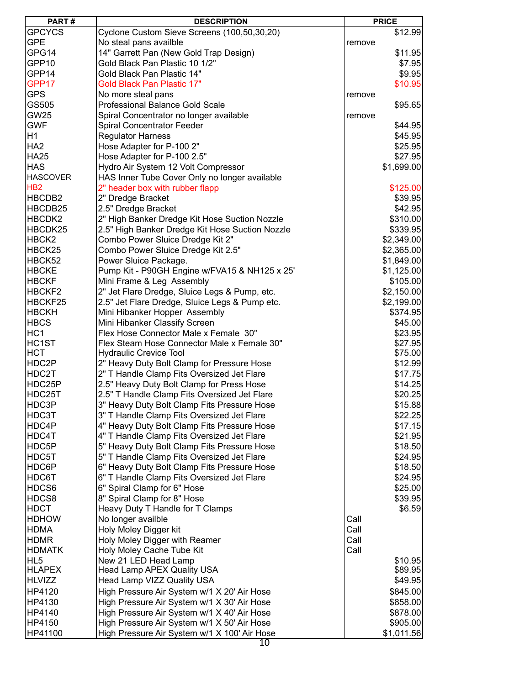| <b>GPCYCS</b><br>Cyclone Custom Sieve Screens (100,50,30,20)<br>\$12.99<br><b>GPE</b><br>No steal pans availble<br>remove<br>GPG14<br>14" Garrett Pan (New Gold Trap Design)<br>\$11.95<br>GPP10<br>Gold Black Pan Plastic 10 1/2"<br>\$7.95<br>GPP14<br>Gold Black Pan Plastic 14"<br>\$9.95<br>GPP17<br><b>Gold Black Pan Plastic 17"</b><br>\$10.95<br><b>GPS</b><br>No more steal pans<br>remove<br>GS505<br>Professional Balance Gold Scale<br>\$95.65<br><b>GW25</b><br>Spiral Concentrator no longer available<br>remove<br><b>GWF</b><br><b>Spiral Concentrator Feeder</b><br>\$44.95<br>H1<br><b>Regulator Harness</b><br>\$45.95<br>HA <sub>2</sub><br>Hose Adapter for P-100 2"<br>\$25.95<br>Hose Adapter for P-100 2.5"<br><b>HA25</b><br>\$27.95<br><b>HAS</b><br>Hydro Air System 12 Volt Compressor<br>\$1,699.00<br><b>HASCOVER</b><br>HAS Inner Tube Cover Only no longer available<br>HB <sub>2</sub><br>2" header box with rubber flapp<br>\$125.00<br>HBCDB2<br>2" Dredge Bracket<br>\$39.95<br>HBCDB25<br>2.5" Dredge Bracket<br>\$42.95<br>HBCDK2<br>2" High Banker Dredge Kit Hose Suction Nozzle<br>\$310.00<br>HBCDK25<br>2.5" High Banker Dredge Kit Hose Suction Nozzle<br>\$339.95<br>HBCK <sub>2</sub><br>Combo Power Sluice Dredge Kit 2"<br>\$2,349.00<br>Combo Power Sluice Dredge Kit 2.5"<br>HBCK25<br>\$2,365.00<br>HBCK52<br>Power Sluice Package.<br>\$1,849.00<br>Pump Kit - P90GH Engine w/FVA15 & NH125 x 25'<br><b>HBCKE</b><br>\$1,125.00<br><b>HBCKF</b><br>Mini Frame & Leg Assembly<br>\$105.00<br>2" Jet Flare Dredge, Sluice Legs & Pump, etc.<br>HBCKF2<br>\$2,150.00<br>HBCKF25<br>2.5" Jet Flare Dredge, Sluice Legs & Pump etc.<br>\$2,199.00<br><b>HBCKH</b><br>Mini Hibanker Hopper Assembly<br>\$374.95<br><b>HBCS</b><br>Mini Hibanker Classify Screen<br>\$45.00<br>HC <sub>1</sub><br>Flex Hose Connector Male x Female 30"<br>\$23.95<br>HC1ST<br>Flex Steam Hose Connector Male x Female 30"<br>\$27.95<br><b>HCT</b><br><b>Hydraulic Crevice Tool</b><br>\$75.00<br>HDC2P<br>2" Heavy Duty Bolt Clamp for Pressure Hose<br>\$12.99<br>HDC2T<br>2" T Handle Clamp Fits Oversized Jet Flare<br>\$17.75<br>2.5" Heavy Duty Bolt Clamp for Press Hose<br>HDC25P<br>\$14.25<br>HDC25T<br>2.5" T Handle Clamp Fits Oversized Jet Flare<br>\$20.25<br>HDC3P<br>\$15.88<br>3" Heavy Duty Bolt Clamp Fits Pressure Hose<br>3" T Handle Clamp Fits Oversized Jet Flare<br>HDC3T<br>\$22.25<br>HDC4P<br>4" Heavy Duty Bolt Clamp Fits Pressure Hose<br>\$17.15<br>4" T Handle Clamp Fits Oversized Jet Flare<br>HDC4T<br>\$21.95<br>HDC5P<br>5" Heavy Duty Bolt Clamp Fits Pressure Hose<br>\$18.50<br>5" T Handle Clamp Fits Oversized Jet Flare<br>HDC5T<br>\$24.95<br>HDC6P<br>6" Heavy Duty Bolt Clamp Fits Pressure Hose<br>\$18.50<br>6" T Handle Clamp Fits Oversized Jet Flare<br>HDC6T<br>\$24.95<br>HDCS6<br>6" Spiral Clamp for 6" Hose<br>\$25.00<br>HDCS8<br>8" Spiral Clamp for 8" Hose<br>\$39.95<br><b>HDCT</b><br>\$6.59<br>Heavy Duty T Handle for T Clamps<br><b>HDHOW</b><br>No longer availble<br>Call<br><b>HDMA</b><br>Call<br>Holy Moley Digger kit<br><b>HDMR</b><br>Holy Moley Digger with Reamer<br>Call | PART# | <b>DESCRIPTION</b> | <b>PRICE</b> |
|---------------------------------------------------------------------------------------------------------------------------------------------------------------------------------------------------------------------------------------------------------------------------------------------------------------------------------------------------------------------------------------------------------------------------------------------------------------------------------------------------------------------------------------------------------------------------------------------------------------------------------------------------------------------------------------------------------------------------------------------------------------------------------------------------------------------------------------------------------------------------------------------------------------------------------------------------------------------------------------------------------------------------------------------------------------------------------------------------------------------------------------------------------------------------------------------------------------------------------------------------------------------------------------------------------------------------------------------------------------------------------------------------------------------------------------------------------------------------------------------------------------------------------------------------------------------------------------------------------------------------------------------------------------------------------------------------------------------------------------------------------------------------------------------------------------------------------------------------------------------------------------------------------------------------------------------------------------------------------------------------------------------------------------------------------------------------------------------------------------------------------------------------------------------------------------------------------------------------------------------------------------------------------------------------------------------------------------------------------------------------------------------------------------------------------------------------------------------------------------------------------------------------------------------------------------------------------------------------------------------------------------------------------------------------------------------------------------------------------------------------------------------------------------------------------------------------------------------------------------------------------------------------------------------------------------------------------------------------------------------------------------------------------------------------------------------------------------------------------------------------------------------------------------------------------------|-------|--------------------|--------------|
|                                                                                                                                                                                                                                                                                                                                                                                                                                                                                                                                                                                                                                                                                                                                                                                                                                                                                                                                                                                                                                                                                                                                                                                                                                                                                                                                                                                                                                                                                                                                                                                                                                                                                                                                                                                                                                                                                                                                                                                                                                                                                                                                                                                                                                                                                                                                                                                                                                                                                                                                                                                                                                                                                                                                                                                                                                                                                                                                                                                                                                                                                                                                                                                       |       |                    |              |
|                                                                                                                                                                                                                                                                                                                                                                                                                                                                                                                                                                                                                                                                                                                                                                                                                                                                                                                                                                                                                                                                                                                                                                                                                                                                                                                                                                                                                                                                                                                                                                                                                                                                                                                                                                                                                                                                                                                                                                                                                                                                                                                                                                                                                                                                                                                                                                                                                                                                                                                                                                                                                                                                                                                                                                                                                                                                                                                                                                                                                                                                                                                                                                                       |       |                    |              |
|                                                                                                                                                                                                                                                                                                                                                                                                                                                                                                                                                                                                                                                                                                                                                                                                                                                                                                                                                                                                                                                                                                                                                                                                                                                                                                                                                                                                                                                                                                                                                                                                                                                                                                                                                                                                                                                                                                                                                                                                                                                                                                                                                                                                                                                                                                                                                                                                                                                                                                                                                                                                                                                                                                                                                                                                                                                                                                                                                                                                                                                                                                                                                                                       |       |                    |              |
|                                                                                                                                                                                                                                                                                                                                                                                                                                                                                                                                                                                                                                                                                                                                                                                                                                                                                                                                                                                                                                                                                                                                                                                                                                                                                                                                                                                                                                                                                                                                                                                                                                                                                                                                                                                                                                                                                                                                                                                                                                                                                                                                                                                                                                                                                                                                                                                                                                                                                                                                                                                                                                                                                                                                                                                                                                                                                                                                                                                                                                                                                                                                                                                       |       |                    |              |
|                                                                                                                                                                                                                                                                                                                                                                                                                                                                                                                                                                                                                                                                                                                                                                                                                                                                                                                                                                                                                                                                                                                                                                                                                                                                                                                                                                                                                                                                                                                                                                                                                                                                                                                                                                                                                                                                                                                                                                                                                                                                                                                                                                                                                                                                                                                                                                                                                                                                                                                                                                                                                                                                                                                                                                                                                                                                                                                                                                                                                                                                                                                                                                                       |       |                    |              |
|                                                                                                                                                                                                                                                                                                                                                                                                                                                                                                                                                                                                                                                                                                                                                                                                                                                                                                                                                                                                                                                                                                                                                                                                                                                                                                                                                                                                                                                                                                                                                                                                                                                                                                                                                                                                                                                                                                                                                                                                                                                                                                                                                                                                                                                                                                                                                                                                                                                                                                                                                                                                                                                                                                                                                                                                                                                                                                                                                                                                                                                                                                                                                                                       |       |                    |              |
|                                                                                                                                                                                                                                                                                                                                                                                                                                                                                                                                                                                                                                                                                                                                                                                                                                                                                                                                                                                                                                                                                                                                                                                                                                                                                                                                                                                                                                                                                                                                                                                                                                                                                                                                                                                                                                                                                                                                                                                                                                                                                                                                                                                                                                                                                                                                                                                                                                                                                                                                                                                                                                                                                                                                                                                                                                                                                                                                                                                                                                                                                                                                                                                       |       |                    |              |
|                                                                                                                                                                                                                                                                                                                                                                                                                                                                                                                                                                                                                                                                                                                                                                                                                                                                                                                                                                                                                                                                                                                                                                                                                                                                                                                                                                                                                                                                                                                                                                                                                                                                                                                                                                                                                                                                                                                                                                                                                                                                                                                                                                                                                                                                                                                                                                                                                                                                                                                                                                                                                                                                                                                                                                                                                                                                                                                                                                                                                                                                                                                                                                                       |       |                    |              |
|                                                                                                                                                                                                                                                                                                                                                                                                                                                                                                                                                                                                                                                                                                                                                                                                                                                                                                                                                                                                                                                                                                                                                                                                                                                                                                                                                                                                                                                                                                                                                                                                                                                                                                                                                                                                                                                                                                                                                                                                                                                                                                                                                                                                                                                                                                                                                                                                                                                                                                                                                                                                                                                                                                                                                                                                                                                                                                                                                                                                                                                                                                                                                                                       |       |                    |              |
|                                                                                                                                                                                                                                                                                                                                                                                                                                                                                                                                                                                                                                                                                                                                                                                                                                                                                                                                                                                                                                                                                                                                                                                                                                                                                                                                                                                                                                                                                                                                                                                                                                                                                                                                                                                                                                                                                                                                                                                                                                                                                                                                                                                                                                                                                                                                                                                                                                                                                                                                                                                                                                                                                                                                                                                                                                                                                                                                                                                                                                                                                                                                                                                       |       |                    |              |
|                                                                                                                                                                                                                                                                                                                                                                                                                                                                                                                                                                                                                                                                                                                                                                                                                                                                                                                                                                                                                                                                                                                                                                                                                                                                                                                                                                                                                                                                                                                                                                                                                                                                                                                                                                                                                                                                                                                                                                                                                                                                                                                                                                                                                                                                                                                                                                                                                                                                                                                                                                                                                                                                                                                                                                                                                                                                                                                                                                                                                                                                                                                                                                                       |       |                    |              |
|                                                                                                                                                                                                                                                                                                                                                                                                                                                                                                                                                                                                                                                                                                                                                                                                                                                                                                                                                                                                                                                                                                                                                                                                                                                                                                                                                                                                                                                                                                                                                                                                                                                                                                                                                                                                                                                                                                                                                                                                                                                                                                                                                                                                                                                                                                                                                                                                                                                                                                                                                                                                                                                                                                                                                                                                                                                                                                                                                                                                                                                                                                                                                                                       |       |                    |              |
|                                                                                                                                                                                                                                                                                                                                                                                                                                                                                                                                                                                                                                                                                                                                                                                                                                                                                                                                                                                                                                                                                                                                                                                                                                                                                                                                                                                                                                                                                                                                                                                                                                                                                                                                                                                                                                                                                                                                                                                                                                                                                                                                                                                                                                                                                                                                                                                                                                                                                                                                                                                                                                                                                                                                                                                                                                                                                                                                                                                                                                                                                                                                                                                       |       |                    |              |
|                                                                                                                                                                                                                                                                                                                                                                                                                                                                                                                                                                                                                                                                                                                                                                                                                                                                                                                                                                                                                                                                                                                                                                                                                                                                                                                                                                                                                                                                                                                                                                                                                                                                                                                                                                                                                                                                                                                                                                                                                                                                                                                                                                                                                                                                                                                                                                                                                                                                                                                                                                                                                                                                                                                                                                                                                                                                                                                                                                                                                                                                                                                                                                                       |       |                    |              |
|                                                                                                                                                                                                                                                                                                                                                                                                                                                                                                                                                                                                                                                                                                                                                                                                                                                                                                                                                                                                                                                                                                                                                                                                                                                                                                                                                                                                                                                                                                                                                                                                                                                                                                                                                                                                                                                                                                                                                                                                                                                                                                                                                                                                                                                                                                                                                                                                                                                                                                                                                                                                                                                                                                                                                                                                                                                                                                                                                                                                                                                                                                                                                                                       |       |                    |              |
|                                                                                                                                                                                                                                                                                                                                                                                                                                                                                                                                                                                                                                                                                                                                                                                                                                                                                                                                                                                                                                                                                                                                                                                                                                                                                                                                                                                                                                                                                                                                                                                                                                                                                                                                                                                                                                                                                                                                                                                                                                                                                                                                                                                                                                                                                                                                                                                                                                                                                                                                                                                                                                                                                                                                                                                                                                                                                                                                                                                                                                                                                                                                                                                       |       |                    |              |
|                                                                                                                                                                                                                                                                                                                                                                                                                                                                                                                                                                                                                                                                                                                                                                                                                                                                                                                                                                                                                                                                                                                                                                                                                                                                                                                                                                                                                                                                                                                                                                                                                                                                                                                                                                                                                                                                                                                                                                                                                                                                                                                                                                                                                                                                                                                                                                                                                                                                                                                                                                                                                                                                                                                                                                                                                                                                                                                                                                                                                                                                                                                                                                                       |       |                    |              |
|                                                                                                                                                                                                                                                                                                                                                                                                                                                                                                                                                                                                                                                                                                                                                                                                                                                                                                                                                                                                                                                                                                                                                                                                                                                                                                                                                                                                                                                                                                                                                                                                                                                                                                                                                                                                                                                                                                                                                                                                                                                                                                                                                                                                                                                                                                                                                                                                                                                                                                                                                                                                                                                                                                                                                                                                                                                                                                                                                                                                                                                                                                                                                                                       |       |                    |              |
|                                                                                                                                                                                                                                                                                                                                                                                                                                                                                                                                                                                                                                                                                                                                                                                                                                                                                                                                                                                                                                                                                                                                                                                                                                                                                                                                                                                                                                                                                                                                                                                                                                                                                                                                                                                                                                                                                                                                                                                                                                                                                                                                                                                                                                                                                                                                                                                                                                                                                                                                                                                                                                                                                                                                                                                                                                                                                                                                                                                                                                                                                                                                                                                       |       |                    |              |
|                                                                                                                                                                                                                                                                                                                                                                                                                                                                                                                                                                                                                                                                                                                                                                                                                                                                                                                                                                                                                                                                                                                                                                                                                                                                                                                                                                                                                                                                                                                                                                                                                                                                                                                                                                                                                                                                                                                                                                                                                                                                                                                                                                                                                                                                                                                                                                                                                                                                                                                                                                                                                                                                                                                                                                                                                                                                                                                                                                                                                                                                                                                                                                                       |       |                    |              |
|                                                                                                                                                                                                                                                                                                                                                                                                                                                                                                                                                                                                                                                                                                                                                                                                                                                                                                                                                                                                                                                                                                                                                                                                                                                                                                                                                                                                                                                                                                                                                                                                                                                                                                                                                                                                                                                                                                                                                                                                                                                                                                                                                                                                                                                                                                                                                                                                                                                                                                                                                                                                                                                                                                                                                                                                                                                                                                                                                                                                                                                                                                                                                                                       |       |                    |              |
|                                                                                                                                                                                                                                                                                                                                                                                                                                                                                                                                                                                                                                                                                                                                                                                                                                                                                                                                                                                                                                                                                                                                                                                                                                                                                                                                                                                                                                                                                                                                                                                                                                                                                                                                                                                                                                                                                                                                                                                                                                                                                                                                                                                                                                                                                                                                                                                                                                                                                                                                                                                                                                                                                                                                                                                                                                                                                                                                                                                                                                                                                                                                                                                       |       |                    |              |
|                                                                                                                                                                                                                                                                                                                                                                                                                                                                                                                                                                                                                                                                                                                                                                                                                                                                                                                                                                                                                                                                                                                                                                                                                                                                                                                                                                                                                                                                                                                                                                                                                                                                                                                                                                                                                                                                                                                                                                                                                                                                                                                                                                                                                                                                                                                                                                                                                                                                                                                                                                                                                                                                                                                                                                                                                                                                                                                                                                                                                                                                                                                                                                                       |       |                    |              |
|                                                                                                                                                                                                                                                                                                                                                                                                                                                                                                                                                                                                                                                                                                                                                                                                                                                                                                                                                                                                                                                                                                                                                                                                                                                                                                                                                                                                                                                                                                                                                                                                                                                                                                                                                                                                                                                                                                                                                                                                                                                                                                                                                                                                                                                                                                                                                                                                                                                                                                                                                                                                                                                                                                                                                                                                                                                                                                                                                                                                                                                                                                                                                                                       |       |                    |              |
|                                                                                                                                                                                                                                                                                                                                                                                                                                                                                                                                                                                                                                                                                                                                                                                                                                                                                                                                                                                                                                                                                                                                                                                                                                                                                                                                                                                                                                                                                                                                                                                                                                                                                                                                                                                                                                                                                                                                                                                                                                                                                                                                                                                                                                                                                                                                                                                                                                                                                                                                                                                                                                                                                                                                                                                                                                                                                                                                                                                                                                                                                                                                                                                       |       |                    |              |
|                                                                                                                                                                                                                                                                                                                                                                                                                                                                                                                                                                                                                                                                                                                                                                                                                                                                                                                                                                                                                                                                                                                                                                                                                                                                                                                                                                                                                                                                                                                                                                                                                                                                                                                                                                                                                                                                                                                                                                                                                                                                                                                                                                                                                                                                                                                                                                                                                                                                                                                                                                                                                                                                                                                                                                                                                                                                                                                                                                                                                                                                                                                                                                                       |       |                    |              |
|                                                                                                                                                                                                                                                                                                                                                                                                                                                                                                                                                                                                                                                                                                                                                                                                                                                                                                                                                                                                                                                                                                                                                                                                                                                                                                                                                                                                                                                                                                                                                                                                                                                                                                                                                                                                                                                                                                                                                                                                                                                                                                                                                                                                                                                                                                                                                                                                                                                                                                                                                                                                                                                                                                                                                                                                                                                                                                                                                                                                                                                                                                                                                                                       |       |                    |              |
|                                                                                                                                                                                                                                                                                                                                                                                                                                                                                                                                                                                                                                                                                                                                                                                                                                                                                                                                                                                                                                                                                                                                                                                                                                                                                                                                                                                                                                                                                                                                                                                                                                                                                                                                                                                                                                                                                                                                                                                                                                                                                                                                                                                                                                                                                                                                                                                                                                                                                                                                                                                                                                                                                                                                                                                                                                                                                                                                                                                                                                                                                                                                                                                       |       |                    |              |
|                                                                                                                                                                                                                                                                                                                                                                                                                                                                                                                                                                                                                                                                                                                                                                                                                                                                                                                                                                                                                                                                                                                                                                                                                                                                                                                                                                                                                                                                                                                                                                                                                                                                                                                                                                                                                                                                                                                                                                                                                                                                                                                                                                                                                                                                                                                                                                                                                                                                                                                                                                                                                                                                                                                                                                                                                                                                                                                                                                                                                                                                                                                                                                                       |       |                    |              |
|                                                                                                                                                                                                                                                                                                                                                                                                                                                                                                                                                                                                                                                                                                                                                                                                                                                                                                                                                                                                                                                                                                                                                                                                                                                                                                                                                                                                                                                                                                                                                                                                                                                                                                                                                                                                                                                                                                                                                                                                                                                                                                                                                                                                                                                                                                                                                                                                                                                                                                                                                                                                                                                                                                                                                                                                                                                                                                                                                                                                                                                                                                                                                                                       |       |                    |              |
|                                                                                                                                                                                                                                                                                                                                                                                                                                                                                                                                                                                                                                                                                                                                                                                                                                                                                                                                                                                                                                                                                                                                                                                                                                                                                                                                                                                                                                                                                                                                                                                                                                                                                                                                                                                                                                                                                                                                                                                                                                                                                                                                                                                                                                                                                                                                                                                                                                                                                                                                                                                                                                                                                                                                                                                                                                                                                                                                                                                                                                                                                                                                                                                       |       |                    |              |
|                                                                                                                                                                                                                                                                                                                                                                                                                                                                                                                                                                                                                                                                                                                                                                                                                                                                                                                                                                                                                                                                                                                                                                                                                                                                                                                                                                                                                                                                                                                                                                                                                                                                                                                                                                                                                                                                                                                                                                                                                                                                                                                                                                                                                                                                                                                                                                                                                                                                                                                                                                                                                                                                                                                                                                                                                                                                                                                                                                                                                                                                                                                                                                                       |       |                    |              |
|                                                                                                                                                                                                                                                                                                                                                                                                                                                                                                                                                                                                                                                                                                                                                                                                                                                                                                                                                                                                                                                                                                                                                                                                                                                                                                                                                                                                                                                                                                                                                                                                                                                                                                                                                                                                                                                                                                                                                                                                                                                                                                                                                                                                                                                                                                                                                                                                                                                                                                                                                                                                                                                                                                                                                                                                                                                                                                                                                                                                                                                                                                                                                                                       |       |                    |              |
|                                                                                                                                                                                                                                                                                                                                                                                                                                                                                                                                                                                                                                                                                                                                                                                                                                                                                                                                                                                                                                                                                                                                                                                                                                                                                                                                                                                                                                                                                                                                                                                                                                                                                                                                                                                                                                                                                                                                                                                                                                                                                                                                                                                                                                                                                                                                                                                                                                                                                                                                                                                                                                                                                                                                                                                                                                                                                                                                                                                                                                                                                                                                                                                       |       |                    |              |
|                                                                                                                                                                                                                                                                                                                                                                                                                                                                                                                                                                                                                                                                                                                                                                                                                                                                                                                                                                                                                                                                                                                                                                                                                                                                                                                                                                                                                                                                                                                                                                                                                                                                                                                                                                                                                                                                                                                                                                                                                                                                                                                                                                                                                                                                                                                                                                                                                                                                                                                                                                                                                                                                                                                                                                                                                                                                                                                                                                                                                                                                                                                                                                                       |       |                    |              |
|                                                                                                                                                                                                                                                                                                                                                                                                                                                                                                                                                                                                                                                                                                                                                                                                                                                                                                                                                                                                                                                                                                                                                                                                                                                                                                                                                                                                                                                                                                                                                                                                                                                                                                                                                                                                                                                                                                                                                                                                                                                                                                                                                                                                                                                                                                                                                                                                                                                                                                                                                                                                                                                                                                                                                                                                                                                                                                                                                                                                                                                                                                                                                                                       |       |                    |              |
|                                                                                                                                                                                                                                                                                                                                                                                                                                                                                                                                                                                                                                                                                                                                                                                                                                                                                                                                                                                                                                                                                                                                                                                                                                                                                                                                                                                                                                                                                                                                                                                                                                                                                                                                                                                                                                                                                                                                                                                                                                                                                                                                                                                                                                                                                                                                                                                                                                                                                                                                                                                                                                                                                                                                                                                                                                                                                                                                                                                                                                                                                                                                                                                       |       |                    |              |
|                                                                                                                                                                                                                                                                                                                                                                                                                                                                                                                                                                                                                                                                                                                                                                                                                                                                                                                                                                                                                                                                                                                                                                                                                                                                                                                                                                                                                                                                                                                                                                                                                                                                                                                                                                                                                                                                                                                                                                                                                                                                                                                                                                                                                                                                                                                                                                                                                                                                                                                                                                                                                                                                                                                                                                                                                                                                                                                                                                                                                                                                                                                                                                                       |       |                    |              |
|                                                                                                                                                                                                                                                                                                                                                                                                                                                                                                                                                                                                                                                                                                                                                                                                                                                                                                                                                                                                                                                                                                                                                                                                                                                                                                                                                                                                                                                                                                                                                                                                                                                                                                                                                                                                                                                                                                                                                                                                                                                                                                                                                                                                                                                                                                                                                                                                                                                                                                                                                                                                                                                                                                                                                                                                                                                                                                                                                                                                                                                                                                                                                                                       |       |                    |              |
|                                                                                                                                                                                                                                                                                                                                                                                                                                                                                                                                                                                                                                                                                                                                                                                                                                                                                                                                                                                                                                                                                                                                                                                                                                                                                                                                                                                                                                                                                                                                                                                                                                                                                                                                                                                                                                                                                                                                                                                                                                                                                                                                                                                                                                                                                                                                                                                                                                                                                                                                                                                                                                                                                                                                                                                                                                                                                                                                                                                                                                                                                                                                                                                       |       |                    |              |
|                                                                                                                                                                                                                                                                                                                                                                                                                                                                                                                                                                                                                                                                                                                                                                                                                                                                                                                                                                                                                                                                                                                                                                                                                                                                                                                                                                                                                                                                                                                                                                                                                                                                                                                                                                                                                                                                                                                                                                                                                                                                                                                                                                                                                                                                                                                                                                                                                                                                                                                                                                                                                                                                                                                                                                                                                                                                                                                                                                                                                                                                                                                                                                                       |       |                    |              |
|                                                                                                                                                                                                                                                                                                                                                                                                                                                                                                                                                                                                                                                                                                                                                                                                                                                                                                                                                                                                                                                                                                                                                                                                                                                                                                                                                                                                                                                                                                                                                                                                                                                                                                                                                                                                                                                                                                                                                                                                                                                                                                                                                                                                                                                                                                                                                                                                                                                                                                                                                                                                                                                                                                                                                                                                                                                                                                                                                                                                                                                                                                                                                                                       |       |                    |              |
|                                                                                                                                                                                                                                                                                                                                                                                                                                                                                                                                                                                                                                                                                                                                                                                                                                                                                                                                                                                                                                                                                                                                                                                                                                                                                                                                                                                                                                                                                                                                                                                                                                                                                                                                                                                                                                                                                                                                                                                                                                                                                                                                                                                                                                                                                                                                                                                                                                                                                                                                                                                                                                                                                                                                                                                                                                                                                                                                                                                                                                                                                                                                                                                       |       |                    |              |
|                                                                                                                                                                                                                                                                                                                                                                                                                                                                                                                                                                                                                                                                                                                                                                                                                                                                                                                                                                                                                                                                                                                                                                                                                                                                                                                                                                                                                                                                                                                                                                                                                                                                                                                                                                                                                                                                                                                                                                                                                                                                                                                                                                                                                                                                                                                                                                                                                                                                                                                                                                                                                                                                                                                                                                                                                                                                                                                                                                                                                                                                                                                                                                                       |       |                    |              |
|                                                                                                                                                                                                                                                                                                                                                                                                                                                                                                                                                                                                                                                                                                                                                                                                                                                                                                                                                                                                                                                                                                                                                                                                                                                                                                                                                                                                                                                                                                                                                                                                                                                                                                                                                                                                                                                                                                                                                                                                                                                                                                                                                                                                                                                                                                                                                                                                                                                                                                                                                                                                                                                                                                                                                                                                                                                                                                                                                                                                                                                                                                                                                                                       |       |                    |              |
|                                                                                                                                                                                                                                                                                                                                                                                                                                                                                                                                                                                                                                                                                                                                                                                                                                                                                                                                                                                                                                                                                                                                                                                                                                                                                                                                                                                                                                                                                                                                                                                                                                                                                                                                                                                                                                                                                                                                                                                                                                                                                                                                                                                                                                                                                                                                                                                                                                                                                                                                                                                                                                                                                                                                                                                                                                                                                                                                                                                                                                                                                                                                                                                       |       |                    |              |
|                                                                                                                                                                                                                                                                                                                                                                                                                                                                                                                                                                                                                                                                                                                                                                                                                                                                                                                                                                                                                                                                                                                                                                                                                                                                                                                                                                                                                                                                                                                                                                                                                                                                                                                                                                                                                                                                                                                                                                                                                                                                                                                                                                                                                                                                                                                                                                                                                                                                                                                                                                                                                                                                                                                                                                                                                                                                                                                                                                                                                                                                                                                                                                                       |       |                    |              |
|                                                                                                                                                                                                                                                                                                                                                                                                                                                                                                                                                                                                                                                                                                                                                                                                                                                                                                                                                                                                                                                                                                                                                                                                                                                                                                                                                                                                                                                                                                                                                                                                                                                                                                                                                                                                                                                                                                                                                                                                                                                                                                                                                                                                                                                                                                                                                                                                                                                                                                                                                                                                                                                                                                                                                                                                                                                                                                                                                                                                                                                                                                                                                                                       |       |                    |              |
|                                                                                                                                                                                                                                                                                                                                                                                                                                                                                                                                                                                                                                                                                                                                                                                                                                                                                                                                                                                                                                                                                                                                                                                                                                                                                                                                                                                                                                                                                                                                                                                                                                                                                                                                                                                                                                                                                                                                                                                                                                                                                                                                                                                                                                                                                                                                                                                                                                                                                                                                                                                                                                                                                                                                                                                                                                                                                                                                                                                                                                                                                                                                                                                       |       |                    |              |
|                                                                                                                                                                                                                                                                                                                                                                                                                                                                                                                                                                                                                                                                                                                                                                                                                                                                                                                                                                                                                                                                                                                                                                                                                                                                                                                                                                                                                                                                                                                                                                                                                                                                                                                                                                                                                                                                                                                                                                                                                                                                                                                                                                                                                                                                                                                                                                                                                                                                                                                                                                                                                                                                                                                                                                                                                                                                                                                                                                                                                                                                                                                                                                                       |       |                    |              |
| <b>HDMATK</b><br>Holy Moley Cache Tube Kit<br>Call<br>HL <sub>5</sub>                                                                                                                                                                                                                                                                                                                                                                                                                                                                                                                                                                                                                                                                                                                                                                                                                                                                                                                                                                                                                                                                                                                                                                                                                                                                                                                                                                                                                                                                                                                                                                                                                                                                                                                                                                                                                                                                                                                                                                                                                                                                                                                                                                                                                                                                                                                                                                                                                                                                                                                                                                                                                                                                                                                                                                                                                                                                                                                                                                                                                                                                                                                 |       |                    |              |
| New 21 LED Head Lamp<br>\$10.95<br><b>HLAPEX</b><br>Head Lamp APEX Quality USA<br>\$89.95                                                                                                                                                                                                                                                                                                                                                                                                                                                                                                                                                                                                                                                                                                                                                                                                                                                                                                                                                                                                                                                                                                                                                                                                                                                                                                                                                                                                                                                                                                                                                                                                                                                                                                                                                                                                                                                                                                                                                                                                                                                                                                                                                                                                                                                                                                                                                                                                                                                                                                                                                                                                                                                                                                                                                                                                                                                                                                                                                                                                                                                                                             |       |                    |              |
| \$49.95<br>HLVIZZ<br>Head Lamp VIZZ Quality USA                                                                                                                                                                                                                                                                                                                                                                                                                                                                                                                                                                                                                                                                                                                                                                                                                                                                                                                                                                                                                                                                                                                                                                                                                                                                                                                                                                                                                                                                                                                                                                                                                                                                                                                                                                                                                                                                                                                                                                                                                                                                                                                                                                                                                                                                                                                                                                                                                                                                                                                                                                                                                                                                                                                                                                                                                                                                                                                                                                                                                                                                                                                                       |       |                    |              |
| High Pressure Air System w/1 X 20' Air Hose<br>HP4120<br>\$845.00                                                                                                                                                                                                                                                                                                                                                                                                                                                                                                                                                                                                                                                                                                                                                                                                                                                                                                                                                                                                                                                                                                                                                                                                                                                                                                                                                                                                                                                                                                                                                                                                                                                                                                                                                                                                                                                                                                                                                                                                                                                                                                                                                                                                                                                                                                                                                                                                                                                                                                                                                                                                                                                                                                                                                                                                                                                                                                                                                                                                                                                                                                                     |       |                    |              |
| HP4130<br>High Pressure Air System w/1 X 30' Air Hose<br>\$858.00                                                                                                                                                                                                                                                                                                                                                                                                                                                                                                                                                                                                                                                                                                                                                                                                                                                                                                                                                                                                                                                                                                                                                                                                                                                                                                                                                                                                                                                                                                                                                                                                                                                                                                                                                                                                                                                                                                                                                                                                                                                                                                                                                                                                                                                                                                                                                                                                                                                                                                                                                                                                                                                                                                                                                                                                                                                                                                                                                                                                                                                                                                                     |       |                    |              |
| HP4140<br>High Pressure Air System w/1 X 40' Air Hose<br>\$878.00                                                                                                                                                                                                                                                                                                                                                                                                                                                                                                                                                                                                                                                                                                                                                                                                                                                                                                                                                                                                                                                                                                                                                                                                                                                                                                                                                                                                                                                                                                                                                                                                                                                                                                                                                                                                                                                                                                                                                                                                                                                                                                                                                                                                                                                                                                                                                                                                                                                                                                                                                                                                                                                                                                                                                                                                                                                                                                                                                                                                                                                                                                                     |       |                    |              |
| HP4150<br>High Pressure Air System w/1 X 50' Air Hose<br>\$905.00                                                                                                                                                                                                                                                                                                                                                                                                                                                                                                                                                                                                                                                                                                                                                                                                                                                                                                                                                                                                                                                                                                                                                                                                                                                                                                                                                                                                                                                                                                                                                                                                                                                                                                                                                                                                                                                                                                                                                                                                                                                                                                                                                                                                                                                                                                                                                                                                                                                                                                                                                                                                                                                                                                                                                                                                                                                                                                                                                                                                                                                                                                                     |       |                    |              |
| HP41100<br>High Pressure Air System w/1 X 100' Air Hose<br>\$1,011.56                                                                                                                                                                                                                                                                                                                                                                                                                                                                                                                                                                                                                                                                                                                                                                                                                                                                                                                                                                                                                                                                                                                                                                                                                                                                                                                                                                                                                                                                                                                                                                                                                                                                                                                                                                                                                                                                                                                                                                                                                                                                                                                                                                                                                                                                                                                                                                                                                                                                                                                                                                                                                                                                                                                                                                                                                                                                                                                                                                                                                                                                                                                 |       |                    |              |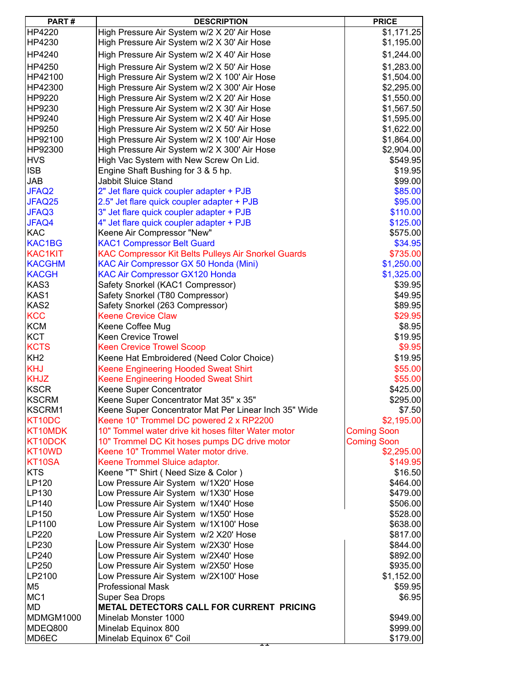| PART#           | <b>DESCRIPTION</b>                                                                               | <b>PRICE</b>                     |
|-----------------|--------------------------------------------------------------------------------------------------|----------------------------------|
| HP4220          | High Pressure Air System w/2 X 20' Air Hose                                                      | \$1,171.25                       |
| HP4230          | High Pressure Air System w/2 X 30' Air Hose                                                      | \$1,195.00                       |
| HP4240          | High Pressure Air System w/2 X 40' Air Hose                                                      | \$1,244.00                       |
| HP4250          | High Pressure Air System w/2 X 50' Air Hose                                                      | \$1,283.00                       |
| HP42100         |                                                                                                  | \$1,504.00                       |
| HP42300         | High Pressure Air System w/2 X 100' Air Hose<br>High Pressure Air System w/2 X 300' Air Hose     | \$2,295.00                       |
| HP9220          | High Pressure Air System w/2 X 20' Air Hose                                                      | \$1,550.00                       |
| HP9230          | High Pressure Air System w/2 X 30' Air Hose                                                      | \$1,567.50                       |
| HP9240          | High Pressure Air System w/2 X 40' Air Hose                                                      | \$1,595.00                       |
| HP9250          | High Pressure Air System w/2 X 50' Air Hose                                                      | \$1,622.00                       |
| HP92100         | High Pressure Air System w/2 X 100' Air Hose                                                     | \$1,864.00                       |
| HP92300         | High Pressure Air System w/2 X 300' Air Hose                                                     | \$2,904.00                       |
| <b>HVS</b>      | High Vac System with New Screw On Lid.                                                           | \$549.95                         |
| <b>ISB</b>      | Engine Shaft Bushing for 3 & 5 hp.                                                               | \$19.95                          |
| <b>JAB</b>      | Jabbit Sluice Stand                                                                              | \$99.00                          |
| JFAQ2           | 2" Jet flare quick coupler adapter + PJB                                                         | \$85.00                          |
| JFAQ25          |                                                                                                  | \$95.00                          |
| JFAQ3           | 2.5" Jet flare quick coupler adapter + PJB                                                       | \$110.00                         |
|                 | 3" Jet flare quick coupler adapter + PJB                                                         |                                  |
| JFAQ4<br>KAC    | 4" Jet flare quick coupler adapter + PJB<br>Keene Air Compressor "New"                           | \$125.00<br>\$575.00             |
| KAC1BG          |                                                                                                  | \$34.95                          |
| <b>KAC1KIT</b>  | <b>KAC1 Compressor Belt Guard</b>                                                                | \$735.00                         |
| <b>KACGHM</b>   | KAC Compressor Kit Belts Pulleys Air Snorkel Guards                                              | \$1,250.00                       |
| <b>KACGH</b>    | KAC Air Compressor GX 50 Honda (Mini)                                                            | \$1,325.00                       |
| KAS3            | <b>KAC Air Compressor GX120 Honda</b>                                                            | \$39.95                          |
| KAS1            | Safety Snorkel (KAC1 Compressor)                                                                 | \$49.95                          |
| KAS2            | Safety Snorkel (T80 Compressor)                                                                  | \$89.95                          |
| <b>KCC</b>      | Safety Snorkel (263 Compressor)<br><b>Keene Crevice Claw</b>                                     | \$29.95                          |
| KCM             | Keene Coffee Mug                                                                                 | \$8.95                           |
| KCT             | <b>Keen Crevice Trowel</b>                                                                       | \$19.95                          |
| <b>KCTS</b>     | <b>Keen Crevice Trowel Scoop</b>                                                                 | \$9.95                           |
| KH <sub>2</sub> | Keene Hat Embroidered (Need Color Choice)                                                        | \$19.95                          |
| <b>KHJ</b>      |                                                                                                  | \$55.00                          |
| <b>KHJZ</b>     | Keene Engineering Hooded Sweat Shirt                                                             | \$55.00                          |
| <b>KSCR</b>     | Keene Engineering Hooded Sweat Shirt                                                             | \$425.00                         |
| <b>KSCRM</b>    | Keene Super Concentrator                                                                         |                                  |
| KSCRM1          | Keene Super Concentrator Mat 35" x 35"                                                           | \$295.00<br>\$7.50               |
| KT10DC          | Keene Super Concentrator Mat Per Linear Inch 35" Wide<br>Keene 10" Trommel DC powered 2 x RP2200 | \$2,195.00                       |
| KT10MDK         | 10" Tommel water drive kit hoses filter Water motor                                              |                                  |
| KT10DCK         | 10" Trommel DC Kit hoses pumps DC drive motor                                                    | <b>Coming Soon</b>               |
| KT10WD          | Keene 10" Trommel Water motor drive.                                                             | <b>Coming Soon</b><br>\$2,295.00 |
| KT10SA          | Keene Trommel Sluice adaptor.                                                                    | \$149.95                         |
| <b>KTS</b>      |                                                                                                  |                                  |
| LP120           | Keene "T" Shirt (Need Size & Color)<br>Low Pressure Air System w/1X20' Hose                      | \$16.50<br>\$464.00              |
| LP130           | Low Pressure Air System w/1X30' Hose                                                             |                                  |
| LP140           | Low Pressure Air System w/1X40' Hose                                                             | \$479.00<br>\$506.00             |
| LP150           | Low Pressure Air System w/1X50' Hose                                                             | \$528.00                         |
| LP1100          | Low Pressure Air System w/1X100' Hose                                                            | \$638.00                         |
| LP220           | Low Pressure Air System w/2 X20' Hose                                                            | \$817.00                         |
| LP230           | Low Pressure Air System w/2X30' Hose                                                             | \$844.00                         |
| LP240           | Low Pressure Air System w/2X40' Hose                                                             | \$892.00                         |
| LP250           | Low Pressure Air System w/2X50' Hose                                                             | \$935.00                         |
| LP2100          | Low Pressure Air System w/2X100' Hose                                                            | \$1,152.00                       |
| M <sub>5</sub>  | <b>Professional Mask</b>                                                                         | \$59.95                          |
| MC <sub>1</sub> | Super Sea Drops                                                                                  | \$6.95                           |
| <b>MD</b>       | METAL DETECTORS CALL FOR CURRENT PRICING                                                         |                                  |
| MDMGM1000       | Minelab Monster 1000                                                                             | \$949.00                         |
| MDEQ800         | Minelab Equinox 800                                                                              | \$999.00                         |
| MD6EC           | Minelab Equinox 6" Coil                                                                          | \$179.00                         |
|                 | ᇁ                                                                                                |                                  |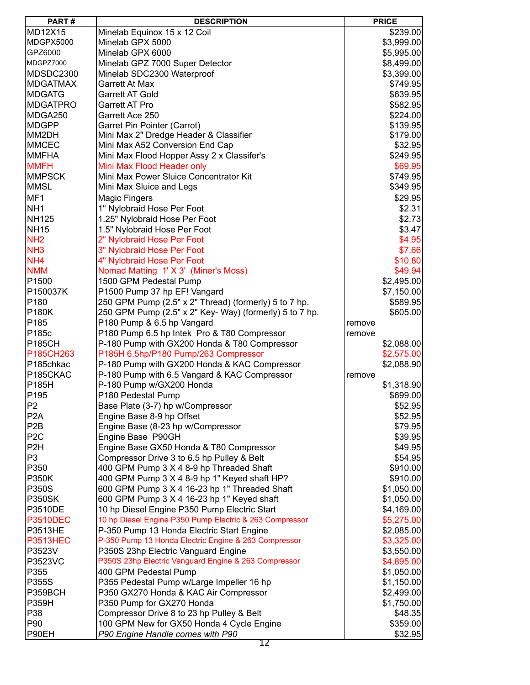| PART#            | <b>DESCRIPTION</b>                                      | <b>PRICE</b> |
|------------------|---------------------------------------------------------|--------------|
| <b>MD12X15</b>   | Minelab Equinox 15 x 12 Coil                            | \$239.00     |
| MDGPX5000        | Minelab GPX 5000                                        | \$3,999.00   |
| GPZ6000          | Minelab GPX 6000                                        | \$5,995.00   |
| MDGPZ7000        | Minelab GPZ 7000 Super Detector                         | \$8,499.00   |
| MDSDC2300        | Minelab SDC2300 Waterproof                              | \$3,399.00   |
| <b>MDGATMAX</b>  | <b>Garrett At Max</b>                                   | \$749.95     |
| <b>MDGATG</b>    | <b>Garrett AT Gold</b>                                  | \$639.95     |
| <b>MDGATPRO</b>  | <b>Garrett AT Pro</b>                                   | \$582.95     |
| MDGA250          | Garrett Ace 250                                         | \$224.00     |
| <b>MDGPP</b>     | Garret Pin Pointer (Carrot)                             | \$139.95     |
| MM2DH            | Mini Max 2" Dredge Header & Classifier                  | \$179.00     |
| <b>MMCEC</b>     | Mini Max A52 Conversion End Cap                         | \$32.95      |
| <b>MMFHA</b>     | Mini Max Flood Hopper Assy 2 x Classifer's              | \$249.95     |
| <b>MMFH</b>      | Mini Max Flood Header only                              | \$69.95      |
| <b>MMPSCK</b>    | Mini Max Power Sluice Concentrator Kit                  | \$749.95     |
| <b>MMSL</b>      | Mini Max Sluice and Legs                                | \$349.95     |
|                  |                                                         |              |
| MF1              | <b>Magic Fingers</b>                                    | \$29.95      |
| NH <sub>1</sub>  | 1" Nylobraid Hose Per Foot                              | \$2.31       |
| <b>NH125</b>     | 1.25" Nylobraid Hose Per Foot                           | \$2.73       |
| <b>NH15</b>      | 1.5" Nylobraid Hose Per Foot                            | \$3.47       |
| NH <sub>2</sub>  | 2" Nylobraid Hose Per Foot                              | \$4.95       |
| NH <sub>3</sub>  | 3" Nylobraid Hose Per Foot                              | \$7.66       |
| NH <sub>4</sub>  | 4" Nylobraid Hose Per Foot                              | \$10.80      |
| <b>NMM</b>       | Nomad Matting 1' X 3' (Miner's Moss)                    | \$49.94      |
| P1500            | 1500 GPM Pedestal Pump                                  | \$2,495.00   |
| P150037K         | P1500 Pump 37 hp EF! Vangard                            | \$7,150.00   |
| P180             | 250 GPM Pump (2.5" x 2" Thread) (formerly) 5 to 7 hp.   | \$589.95     |
| <b>P180K</b>     | 250 GPM Pump (2.5" x 2" Key- Way) (formerly) 5 to 7 hp. | \$605.00     |
| P185             | P180 Pump & 6.5 hp Vangard                              | remove       |
| P185c            | P180 Pump 6.5 hp Intek Pro & T80 Compressor             | remove       |
| <b>P185CH</b>    | P-180 Pump with GX200 Honda & T80 Compressor            | \$2,088.00   |
| P185CH263        | P185H 6.5hp/P180 Pump/263 Compressor                    | \$2,575.00   |
| P185chkac        | P-180 Pump with GX200 Honda & KAC Compressor            | \$2,088.90   |
| P185CKAC         | P-180 Pump with 6.5 Vangard & KAC Compressor            | remove       |
| P185H            | P-180 Pump w/GX200 Honda                                | \$1,318.90   |
| P195             | P180 Pedestal Pump                                      | \$699.00     |
| P <sub>2</sub>   | Base Plate (3-7) hp w/Compressor                        | \$52.95      |
| P <sub>2</sub> A | Engine Base 8-9 hp Offset                               | \$52.95      |
| P <sub>2</sub> B | Engine Base (8-23 hp w/Compressor                       | \$79.95      |
| P <sub>2</sub> C | Engine Base P90GH                                       | \$39.95      |
| P <sub>2</sub> H | Engine Base GX50 Honda & T80 Compressor                 | \$49.95      |
| P <sub>3</sub>   | Compressor Drive 3 to 6.5 hp Pulley & Belt              | \$54.95      |
| P350             | 400 GPM Pump 3 X 4 8-9 hp Threaded Shaft                | \$910.00     |
| <b>P350K</b>     | 400 GPM Pump 3 X 4 8-9 hp 1" Keyed shaft HP?            | \$910.00     |
| P350S            | 600 GPM Pump 3 X 4 16-23 hp 1" Threaded Shaft           | \$1,050.00   |
| <b>P350SK</b>    | 600 GPM Pump 3 X 4 16-23 hp 1" Keyed shaft              | \$1,050.00   |
| P3510DE          | 10 hp Diesel Engine P350 Pump Electric Start            | \$4,169.00   |
| <b>P3510DEC</b>  | 10 hp Diesel Engine P350 Pump Electric & 263 Compressor | \$5,275.00   |
| P3513HE          | P-350 Pump 13 Honda Electric Start Engine               | \$2,085.00   |
| <b>P3513HEC</b>  | P-350 Pump 13 Honda Electric Engine & 263 Compressor    | \$3,325.00   |
| P3523V           | P350S 23hp Electric Vanguard Engine                     | \$3,550.00   |
| P3523VC          | P350S 23hp Electric Vanguard Engine & 263 Compressor    | \$4,895.00   |
| P355             | 400 GPM Pedestal Pump                                   | \$1,050.00   |
| P355S            | P355 Pedestal Pump w/Large Impeller 16 hp               | \$1,150.00   |
| P359BCH          | P350 GX270 Honda & KAC Air Compressor                   | \$2,499.00   |
| <b>P359H</b>     | P350 Pump for GX270 Honda                               | \$1,750.00   |
| P38              | Compressor Drive 8 to 23 hp Pulley & Belt               | \$48.35      |
| P90              | 100 GPM New for GX50 Honda 4 Cycle Engine               | \$359.00     |
| P90EH            | P90 Engine Handle comes with P90                        | \$32.95      |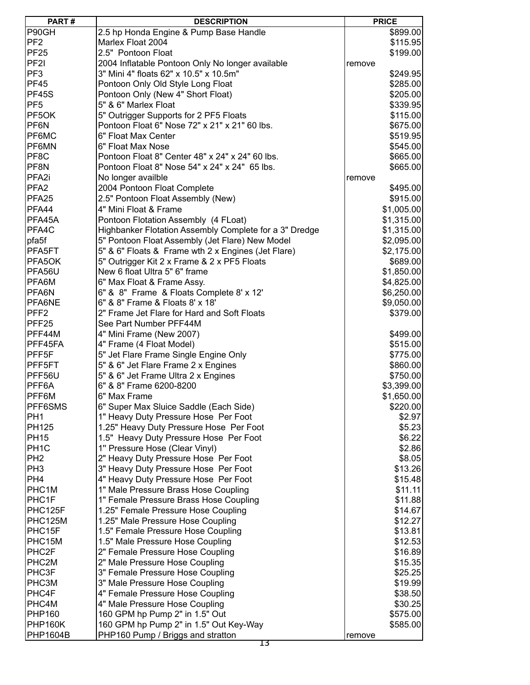| PART#              | <b>DESCRIPTION</b>                                     | <b>PRICE</b> |            |
|--------------------|--------------------------------------------------------|--------------|------------|
| P90GH              | 2.5 hp Honda Engine & Pump Base Handle                 |              | \$899.00   |
| PF <sub>2</sub>    | Marlex Float 2004                                      |              | \$115.95   |
| <b>PF25</b>        | 2.5" Pontoon Float                                     |              | \$199.00   |
| PF <sub>21</sub>   | 2004 Inflatable Pontoon Only No longer available       | remove       |            |
| PF <sub>3</sub>    | 3" Mini 4" floats 62" x 10.5" x 10.5m"                 |              | \$249.95   |
| <b>PF45</b>        | Pontoon Only Old Style Long Float                      |              | \$285.00   |
| PF45S              |                                                        |              |            |
|                    | Pontoon Only (New 4" Short Float)                      |              | \$205.00   |
| PF <sub>5</sub>    | 5" & 6" Marlex Float                                   |              | \$339.95   |
| PF5OK              | 5" Outrigger Supports for 2 PF5 Floats                 |              | \$115.00   |
| PF6N               | Pontoon Float 6" Nose 72" x 21" x 21" 60 lbs.          |              | \$675.00   |
| PF6MC              | 6" Float Max Center                                    |              | \$519.95   |
| PF6MN              | 6" Float Max Nose                                      |              | \$545.00   |
| PF8C               | Pontoon Float 8" Center 48" x 24" x 24" 60 lbs.        |              | \$665.00   |
| PF8N               | Pontoon Float 8" Nose 54" x 24" x 24" 65 lbs.          |              | \$665.00   |
| PFA <sub>2i</sub>  | No longer availble                                     | remove       |            |
| PFA <sub>2</sub>   | 2004 Pontoon Float Complete                            |              | \$495.00   |
| PFA <sub>25</sub>  | 2.5" Pontoon Float Assembly (New)                      |              | \$915.00   |
| PFA44              | 4" Mini Float & Frame                                  |              | \$1,005.00 |
| PFA45A             | Pontoon Flotation Assembly (4 FLoat)                   |              | \$1,315.00 |
| PFA4C              | Highbanker Flotation Assembly Complete for a 3" Dredge |              | \$1,315.00 |
| pfa5f              | 5" Pontoon Float Assembly (Jet Flare) New Model        |              | \$2,095.00 |
| PFA5FT             | 5" & 6" Floats & Frame wth 2 x Engines (Jet Flare)     |              | \$2,175.00 |
| PFA5OK             | 5" Outrigger Kit 2 x Frame & 2 x PF5 Floats            |              | \$689.00   |
| PFA56U             | New 6 float Ultra 5" 6" frame                          |              | \$1,850.00 |
| PFA6M              | 6" Max Float & Frame Assy.                             |              | \$4,825.00 |
| PFA6N              | 6" & 8" Frame & Floats Complete 8' x 12'               |              | \$6,250.00 |
| PFA6NE             | 6" & 8" Frame & Floats 8' x 18'                        |              |            |
|                    |                                                        |              | \$9,050.00 |
| PFF <sub>2</sub>   | 2" Frame Jet Flare for Hard and Soft Floats            |              | \$379.00   |
| PFF25              | See Part Number PFF44M                                 |              |            |
| PFF44M             | 4" Mini Frame (New 2007)                               |              | \$499.00   |
| PFF45FA            | 4" Frame (4 Float Model)                               |              | \$515.00   |
| PFF <sub>5F</sub>  | 5" Jet Flare Frame Single Engine Only                  |              | \$775.00   |
| PFF5FT             | 5" & 6" Jet Flare Frame 2 x Engines                    |              | \$860.00   |
| PFF56U             | 5" & 6" Jet Frame Ultra 2 x Engines                    |              | \$750.00   |
| PFF6A              | 6" & 8" Frame 6200-8200                                |              | \$3,399.00 |
| PFF6M              | 6" Max Frame                                           |              | \$1,650.00 |
| PFF6SMS            | 6" Super Max Sluice Saddle (Each Side)                 |              | \$220.00   |
| PH <sub>1</sub>    | 1" Heavy Duty Pressure Hose Per Foot                   |              | \$2.97     |
| <b>PH125</b>       | 1.25" Heavy Duty Pressure Hose Per Foot                |              | \$5.23     |
| <b>PH15</b>        | 1.5" Heavy Duty Pressure Hose Per Foot                 |              | \$6.22     |
| PH <sub>1C</sub>   | 1" Pressure Hose (Clear Vinyl)                         |              | \$2.86     |
| PH <sub>2</sub>    | 2" Heavy Duty Pressure Hose Per Foot                   |              | \$8.05     |
| PH <sub>3</sub>    | 3" Heavy Duty Pressure Hose Per Foot                   |              | \$13.26    |
| PH <sub>4</sub>    | 4" Heavy Duty Pressure Hose Per Foot                   |              | \$15.48    |
| PHC <sub>1</sub> M | 1" Male Pressure Brass Hose Coupling                   |              | \$11.11    |
| PHC1F              | 1" Female Pressure Brass Hose Coupling                 |              | \$11.88    |
| PHC125F            | 1.25" Female Pressure Hose Coupling                    |              | \$14.67    |
| PHC125M            | 1.25" Male Pressure Hose Coupling                      |              | \$12.27    |
| PHC15F             | 1.5" Female Pressure Hose Coupling                     |              | \$13.81    |
| PHC15M             | 1.5" Male Pressure Hose Coupling                       |              | \$12.53    |
| PHC2F              | 2" Female Pressure Hose Coupling                       |              | \$16.89    |
| PHC2M              | 2" Male Pressure Hose Coupling                         |              | \$15.35    |
| PHC3F              |                                                        |              |            |
|                    | 3" Female Pressure Hose Coupling                       |              | \$25.25    |
| PHC3M              | 3" Male Pressure Hose Coupling                         |              | \$19.99    |
| PHC4F              | 4" Female Pressure Hose Coupling                       |              | \$38.50    |
| PHC4M              | 4" Male Pressure Hose Coupling                         |              | \$30.25    |
| <b>PHP160</b>      | 160 GPM hp Pump 2" in 1.5" Out                         |              | \$575.00   |
| <b>PHP160K</b>     | 160 GPM hp Pump 2" in 1.5" Out Key-Way                 |              | \$585.00   |
| <b>PHP1604B</b>    | PHP160 Pump / Briggs and stratton                      | remove       |            |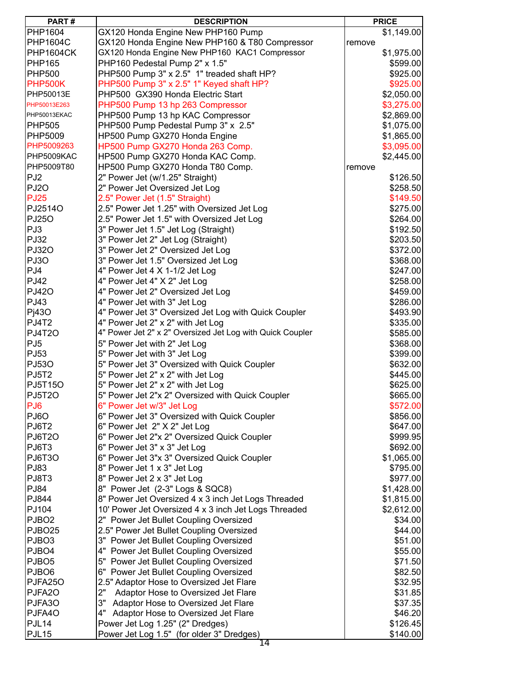| PART#                   | <b>DESCRIPTION</b>                                                                    |        | <b>PRICE</b> |
|-------------------------|---------------------------------------------------------------------------------------|--------|--------------|
| PHP1604                 | GX120 Honda Engine New PHP160 Pump                                                    |        | \$1,149.00   |
| <b>PHP1604C</b>         | GX120 Honda Engine New PHP160 & T80 Compressor                                        | remove |              |
| PHP1604CK               | GX120 Honda Engine New PHP160 KAC1 Compressor                                         |        | \$1,975.00   |
| <b>PHP165</b>           | PHP160 Pedestal Pump 2" x 1.5"                                                        |        | \$599.00     |
| <b>PHP500</b>           | PHP500 Pump 3" x 2.5" 1" treaded shaft HP?                                            |        | \$925.00     |
| <b>PHP500K</b>          | PHP500 Pump 3" x 2.5" 1" Keyed shaft HP?                                              |        | \$925.00     |
| PHP50013E               | PHP500 GX390 Honda Electric Start                                                     |        | \$2,050.00   |
| PHP50013E263            | PHP500 Pump 13 hp 263 Compressor                                                      |        | \$3,275.00   |
| PHP50013EKAC            | PHP500 Pump 13 hp KAC Compressor                                                      |        | \$2,869.00   |
| <b>PHP505</b>           | PHP500 Pump Pedestal Pump 3" x 2.5"                                                   |        | \$1,075.00   |
| <b>PHP5009</b>          | HP500 Pump GX270 Honda Engine                                                         |        | \$1,865.00   |
| PHP5009263              | HP500 Pump GX270 Honda 263 Comp.                                                      |        | \$3,095.00   |
| PHP5009KAC              | HP500 Pump GX270 Honda KAC Comp.                                                      |        | \$2,445.00   |
| PHP5009T80              | HP500 Pump GX270 Honda T80 Comp.                                                      | remove |              |
| PJ2                     | 2" Power Jet (w/1.25" Straight)                                                       |        | \$126.50     |
| PJ2O                    | 2" Power Jet Oversized Jet Log                                                        |        | \$258.50     |
| <b>PJ25</b>             | 2.5" Power Jet (1.5" Straight)                                                        |        | \$149.50     |
| PJ25140                 | 2.5" Power Jet 1.25" with Oversized Jet Log                                           |        | \$275.00     |
| <b>PJ250</b>            | 2.5" Power Jet 1.5" with Oversized Jet Log                                            |        | \$264.00     |
| PJ3                     | 3" Power Jet 1.5" Jet Log (Straight)                                                  |        | \$192.50     |
| <b>PJ32</b>             | 3" Power Jet 2" Jet Log (Straight)                                                    |        | \$203.50     |
| <b>PJ320</b>            | 3" Power Jet 2" Oversized Jet Log                                                     |        | \$372.00     |
| PJ3O                    | 3" Power Jet 1.5" Oversized Jet Log                                                   |        | \$368.00     |
| PJ4                     |                                                                                       |        |              |
| <b>PJ42</b>             | 4" Power Jet 4 $\times$ 1-1/2 Jet Log                                                 |        | \$247.00     |
| <b>PJ420</b>            | 4" Power Jet 4" X 2" Jet Log                                                          |        | \$258.00     |
| PJ43                    | 4" Power Jet 2" Oversized Jet Log                                                     |        | \$459.00     |
|                         | 4" Power Jet with 3" Jet Log                                                          |        | \$286.00     |
| P <sub>1430</sub>       | 4" Power Jet 3" Oversized Jet Log with Quick Coupler                                  |        | \$493.90     |
| PJ4T2                   | 4" Power Jet 2" x 2" with Jet Log                                                     |        | \$335.00     |
| PJ4T2O                  | 4" Power Jet 2" x 2" Oversized Jet Log with Quick Coupler                             |        | \$585.00     |
| PJ <sub>5</sub><br>PJ53 | 5" Power Jet with 2" Jet Log<br>5" Power Jet with 3" Jet Log                          |        | \$368.00     |
|                         |                                                                                       |        | \$399.00     |
| <b>PJ530</b>            | 5" Power Jet 3" Oversized with Quick Coupler<br>5" Power Jet 2" x 2" with Jet Log     |        | \$632.00     |
| <b>PJ5T2</b>            |                                                                                       |        | \$445.00     |
| <b>PJ5T150</b>          | 5" Power Jet 2" x 2" with Jet Log<br>5" Power Jet 2"x 2" Oversized with Quick Coupler |        | \$625.00     |
| <b>PJ5T2O</b>           |                                                                                       |        | \$665.00     |
| PJ <sub>6</sub>         | 6" Power Jet w/3" Jet Log                                                             |        | \$572.00     |
| PJ6O                    | 6" Power Jet 3" Oversized with Quick Coupler                                          |        | \$856.00     |
| PJ6T2                   | 6" Power Jet 2" X 2" Jet Log                                                          |        | \$647.00     |
| PJ6T2O                  | 6" Power Jet 2"x 2" Oversized Quick Coupler                                           |        | \$999.95     |
| PJ6T3<br>PJ6T3O         | 6" Power Jet 3" x 3" Jet Log                                                          |        | \$692.00     |
|                         | 6" Power Jet 3"x 3" Oversized Quick Coupler                                           |        | \$1,065.00   |
| PJ83                    | 8" Power Jet 1 x 3" Jet Log                                                           |        | \$795.00     |
| PJ8T3                   | 8" Power Jet 2 x 3" Jet Log                                                           |        | \$977.00     |
| <b>PJ84</b>             | 8" Power Jet (2-3" Logs & SQC8)                                                       |        | \$1,428.00   |
| PJ844                   | 8" Power Jet Oversized 4 x 3 inch Jet Logs Threaded                                   |        | \$1,815.00   |
| PJ104                   | 10' Power Jet Oversized 4 x 3 inch Jet Logs Threaded                                  |        | \$2,612.00   |
| PJBO <sub>2</sub>       | 2" Power Jet Bullet Coupling Oversized                                                |        | \$34.00      |
| PJBO <sub>25</sub>      | 2.5" Power Jet Bullet Coupling Oversized                                              |        | \$44.00      |
| PJBO3                   | 3" Power Jet Bullet Coupling Oversized                                                |        | \$51.00      |
| PJBO4                   | 4" Power Jet Bullet Coupling Oversized                                                |        | \$55.00      |
| PJBO <sub>5</sub>       | 5" Power Jet Bullet Coupling Oversized                                                |        | \$71.50      |
| PJBO6                   | Power Jet Bullet Coupling Oversized<br>6"                                             |        | \$82.50      |
| PJFA25O                 | 2.5" Adaptor Hose to Oversized Jet Flare                                              |        | \$32.95      |
| PJFA2O                  | 2"<br>Adaptor Hose to Oversized Jet Flare                                             |        | \$31.85      |
| PJFA3O                  | 3"<br>Adaptor Hose to Oversized Jet Flare                                             |        | \$37.35      |
| PJFA4O                  | 4"<br>Adaptor Hose to Oversized Jet Flare                                             |        | \$46.20      |
| PJL14                   | Power Jet Log 1.25" (2" Dredges)                                                      |        | \$126.45     |
| PJL <sub>15</sub>       | Power Jet Log 1.5" (for older 3" Dredges)<br>14                                       |        | \$140.00     |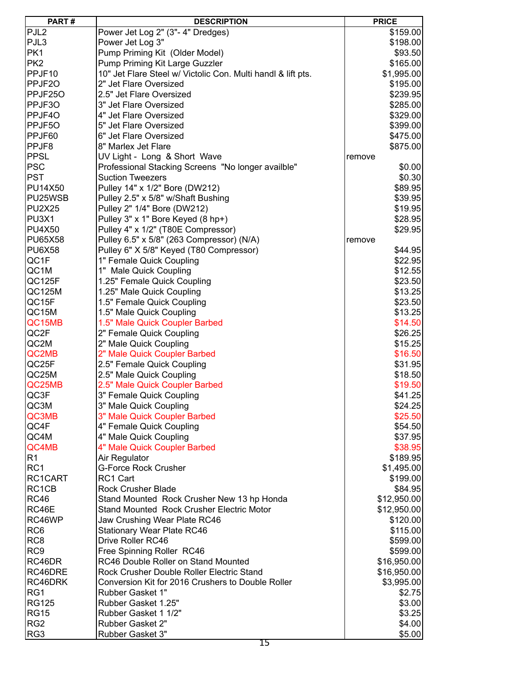| PART#            | <b>DESCRIPTION</b>                                           | <b>PRICE</b> |  |
|------------------|--------------------------------------------------------------|--------------|--|
| PJL <sub>2</sub> | Power Jet Log 2" (3"- 4" Dredges)                            | \$159.00     |  |
| PJL3             | Power Jet Log 3"                                             | \$198.00     |  |
| PK1              | Pump Priming Kit (Older Model)                               | \$93.50      |  |
| PK <sub>2</sub>  | Pump Priming Kit Large Guzzler                               | \$165.00     |  |
| PPJF10           | 10" Jet Flare Steel w/ Victolic Con. Multi handl & lift pts. | \$1,995.00   |  |
| PPJF20           | 2" Jet Flare Oversized                                       | \$195.00     |  |
| PPJF250          | 2.5" Jet Flare Oversized                                     | \$239.95     |  |
| PPJF3O           | 3" Jet Flare Oversized                                       | \$285.00     |  |
| PPJF4O           | 4" Jet Flare Oversized                                       | \$329.00     |  |
| PPJF5O           | 5" Jet Flare Oversized                                       | \$399.00     |  |
| PPJF60           | 6" Jet Flare Oversized                                       | \$475.00     |  |
| PPJF8            | 8" Marlex Jet Flare                                          | \$875.00     |  |
| <b>PPSL</b>      | UV Light - Long & Short Wave                                 | remove       |  |
| <b>PSC</b>       | Professional Stacking Screens "No longer availble"           | \$0.00       |  |
| <b>PST</b>       | <b>Suction Tweezers</b>                                      | \$0.30       |  |
|                  | Pulley 14" x 1/2" Bore (DW212)                               |              |  |
| PU14X50          |                                                              | \$89.95      |  |
| PU25WSB          | Pulley 2.5" x 5/8" w/Shaft Bushing                           | \$39.95      |  |
| <b>PU2X25</b>    | Pulley 2" 1/4" Bore (DW212)                                  | \$19.95      |  |
| PU3X1            | Pulley 3" x 1" Bore Keyed (8 hp+)                            | \$28.95      |  |
| <b>PU4X50</b>    | Pulley 4" x 1/2" (T80E Compressor)                           | \$29.95      |  |
| PU65X58          | Pulley 6.5" x 5/8" (263 Compressor) (N/A)                    | remove       |  |
| <b>PU6X58</b>    | Pulley 6" X 5/8" Keyed (T80 Compressor)                      | \$44.95      |  |
| QC1F             | 1" Female Quick Coupling                                     | \$22.95      |  |
| QC1M             | 1" Male Quick Coupling                                       | \$12.55      |  |
| QC125F           | 1.25" Female Quick Coupling                                  | \$23.50      |  |
| QC125M           | 1.25" Male Quick Coupling                                    | \$13.25      |  |
| QC15F            | 1.5" Female Quick Coupling                                   | \$23.50      |  |
| QC15M            | 1.5" Male Quick Coupling                                     | \$13.25      |  |
| QC15MB           | 1.5" Male Quick Coupler Barbed                               | \$14.50      |  |
| QC2F             | 2" Female Quick Coupling                                     | \$26.25      |  |
| QC2M             | 2" Male Quick Coupling                                       | \$15.25      |  |
| QC2MB            | 2" Male Quick Coupler Barbed                                 | \$16.50      |  |
| QC25F            | 2.5" Female Quick Coupling                                   | \$31.95      |  |
| QC25M            | 2.5" Male Quick Coupling                                     | \$18.50      |  |
| QC25MB           | 2.5" Male Quick Coupler Barbed                               | \$19.50      |  |
| QC3F             | 3" Female Quick Coupling                                     | \$41.25      |  |
| QC3M             | 3" Male Quick Coupling                                       | \$24.25      |  |
| QC3MB            | 3" Male Quick Coupler Barbed                                 | \$25.50      |  |
| QC4F             | 4" Female Quick Coupling                                     | \$54.50      |  |
| QC4M             | 4" Male Quick Coupling                                       | \$37.95      |  |
| QC4MB            | 4" Male Quick Coupler Barbed                                 | \$38.95      |  |
| R <sub>1</sub>   | Air Regulator                                                | \$189.95     |  |
| RC <sub>1</sub>  | <b>G-Force Rock Crusher</b>                                  | \$1,495.00   |  |
| RC1CART          | RC1 Cart                                                     | \$199.00     |  |
| RC1CB            | <b>Rock Crusher Blade</b>                                    | \$84.95      |  |
| <b>RC46</b>      | Stand Mounted Rock Crusher New 13 hp Honda                   | \$12,950.00  |  |
| RC46E            | <b>Stand Mounted Rock Crusher Electric Motor</b>             | \$12,950.00  |  |
| RC46WP           | Jaw Crushing Wear Plate RC46                                 | \$120.00     |  |
| RC <sub>6</sub>  | <b>Stationary Wear Plate RC46</b>                            | \$115.00     |  |
| RC <sub>8</sub>  | Drive Roller RC46                                            | \$599.00     |  |
| RC <sub>9</sub>  | Free Spinning Roller RC46                                    | \$599.00     |  |
| RC46DR           | RC46 Double Roller on Stand Mounted                          | \$16,950.00  |  |
| RC46DRE          | Rock Crusher Double Roller Electric Stand                    | \$16,950.00  |  |
| RC46DRK          | Conversion Kit for 2016 Crushers to Double Roller            | \$3,995.00   |  |
| RG1              | Rubber Gasket 1"                                             | \$2.75       |  |
| <b>RG125</b>     | Rubber Gasket 1.25"                                          | \$3.00       |  |
| <b>RG15</b>      | Rubber Gasket 1 1/2"                                         | \$3.25       |  |
| RG <sub>2</sub>  | Rubber Gasket 2"                                             | \$4.00       |  |
| RG3              | Rubber Gasket 3"                                             | \$5.00       |  |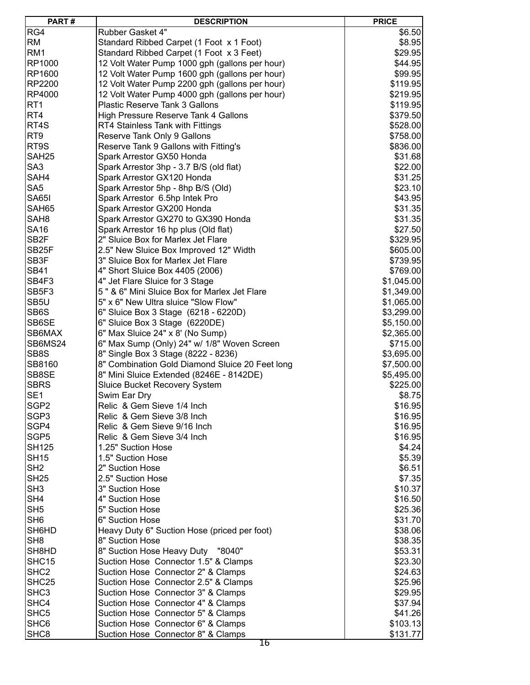| PART#              | <b>DESCRIPTION</b>                              | <b>PRICE</b> |
|--------------------|-------------------------------------------------|--------------|
| RG4                | Rubber Gasket 4"                                | \$6.50       |
| <b>RM</b>          | Standard Ribbed Carpet (1 Foot x 1 Foot)        | \$8.95       |
| RM <sub>1</sub>    | Standard Ribbed Carpet (1 Foot x 3 Feet)        | \$29.95      |
| RP1000             | 12 Volt Water Pump 1000 gph (gallons per hour)  | \$44.95      |
| RP1600             | 12 Volt Water Pump 1600 gph (gallons per hour)  | \$99.95      |
| <b>RP2200</b>      | 12 Volt Water Pump 2200 gph (gallons per hour)  | \$119.95     |
| <b>RP4000</b>      | 12 Volt Water Pump 4000 gph (gallons per hour)  | \$219.95     |
| RT <sub>1</sub>    | <b>Plastic Reserve Tank 3 Gallons</b>           | \$119.95     |
| RT4                | High Pressure Reserve Tank 4 Gallons            | \$379.50     |
| RT4S               |                                                 |              |
| RT <sub>9</sub>    | RT4 Stainless Tank with Fittings                | \$528.00     |
|                    | Reserve Tank Only 9 Gallons                     | \$758.00     |
| RT9S               | Reserve Tank 9 Gallons with Fitting's           | \$836.00     |
| SAH <sub>25</sub>  | Spark Arrestor GX50 Honda                       | \$31.68      |
| SA <sub>3</sub>    | Spark Arrestor 3hp - 3.7 B/S (old flat)         | \$22.00      |
| SAH4               | Spark Arrestor GX120 Honda                      | \$31.25      |
| SA <sub>5</sub>    | Spark Arrestor 5hp - 8hp B/S (Old)              | \$23.10      |
| <b>SA65I</b>       | Spark Arrestor 6.5hp Intek Pro                  | \$43.95      |
| SAH65              | Spark Arrestor GX200 Honda                      | \$31.35      |
| SAH <sub>8</sub>   | Spark Arrestor GX270 to GX390 Honda             | \$31.35      |
| <b>SA16</b>        | Spark Arrestor 16 hp plus (Old flat)            | \$27.50      |
| SB <sub>2F</sub>   | 2" Sluice Box for Marlex Jet Flare              | \$329.95     |
| SB <sub>25</sub> F | 2.5" New Sluice Box Improved 12" Width          | \$605.00     |
| SB3F               | 3" Sluice Box for Marlex Jet Flare              | \$739.95     |
| <b>SB41</b>        | 4" Short Sluice Box 4405 (2006)                 | \$769.00     |
| SB4F3              | 4" Jet Flare Sluice for 3 Stage                 | \$1,045.00   |
| SB5F3              | 5" & 6" Mini Sluice Box for Marlex Jet Flare    | \$1,349.00   |
| SB5U               | 5" x 6" New Ultra sluice "Slow Flow"            | \$1,065.00   |
| SB6S               | 6" Sluice Box 3 Stage (6218 - 6220D)            | \$3,299.00   |
| SB6SE              | 6" Sluice Box 3 Stage (6220DE)                  | \$5,150.00   |
| SB6MAX             | 6" Max Sluice 24" x 8' (No Sump)                | \$2,365.00   |
| SB6MS24            | 6" Max Sump (Only) 24" w/ 1/8" Woven Screen     | \$715.00     |
| SB8S               | 8" Single Box 3 Stage (8222 - 8236)             | \$3,695.00   |
| SB8160             | 8" Combination Gold Diamond Sluice 20 Feet long | \$7,500.00   |
| SB8SE              | 8" Mini Sluice Extended (8246E - 8142DE)        | \$5,495.00   |
| <b>SBRS</b>        | <b>Sluice Bucket Recovery System</b>            | \$225.00     |
| SE <sub>1</sub>    | Swim Ear Dry                                    | \$8.75       |
| SGP <sub>2</sub>   | Relic & Gem Sieve 1/4 Inch                      | \$16.95      |
| SGP <sub>3</sub>   | Relic & Gem Sieve 3/8 Inch                      | \$16.95      |
| SGP4               | Relic & Gem Sieve 9/16 Inch                     | \$16.95      |
| SGP <sub>5</sub>   | Relic & Gem Sieve 3/4 Inch                      | \$16.95      |
| <b>SH125</b>       | 1.25" Suction Hose                              | \$4.24       |
| <b>SH15</b>        |                                                 |              |
|                    | 1.5" Suction Hose                               | \$5.39       |
| SH <sub>2</sub>    | 2" Suction Hose                                 | \$6.51       |
| <b>SH25</b>        | 2.5" Suction Hose                               | \$7.35       |
| SH <sub>3</sub>    | 3" Suction Hose                                 | \$10.37      |
| SH <sub>4</sub>    | 4" Suction Hose                                 | \$16.50      |
| SH <sub>5</sub>    | 5" Suction Hose                                 | \$25.36      |
| SH <sub>6</sub>    | 6" Suction Hose                                 | \$31.70      |
| SH6HD              | Heavy Duty 6" Suction Hose (priced per foot)    | \$38.06      |
| SH <sub>8</sub>    | 8" Suction Hose                                 | \$38.35      |
| SH8HD              | 8" Suction Hose Heavy Duty "8040"               | \$53.31      |
| SHC <sub>15</sub>  | Suction Hose Connector 1.5" & Clamps            | \$23.30      |
| SHC <sub>2</sub>   | Suction Hose Connector 2" & Clamps              | \$24.63      |
| SHC <sub>25</sub>  | Suction Hose Connector 2.5" & Clamps            | \$25.96      |
| SHC <sub>3</sub>   | Suction Hose Connector 3" & Clamps              | \$29.95      |
| SHC4               | Suction Hose Connector 4" & Clamps              | \$37.94      |
| SHC <sub>5</sub>   | Suction Hose Connector 5" & Clamps              | \$41.26      |
| SHC <sub>6</sub>   | Suction Hose Connector 6" & Clamps              | \$103.13     |
| SHC <sub>8</sub>   | Suction Hose Connector 8" & Clamps              | \$131.77     |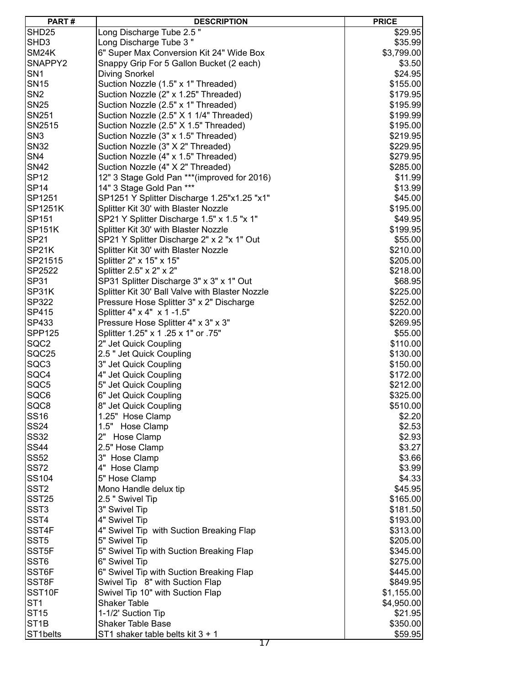| PART#             | <b>DESCRIPTION</b>                                        | <b>PRICE</b> |
|-------------------|-----------------------------------------------------------|--------------|
| SHD <sub>25</sub> | Long Discharge Tube 2.5"                                  | \$29.95      |
| SHD3              | Long Discharge Tube 3"                                    | \$35.99      |
| SM24K             | 6" Super Max Conversion Kit 24" Wide Box                  | \$3,799.00   |
| SNAPPY2           | Snappy Grip For 5 Gallon Bucket (2 each)                  | \$3.50       |
| SN <sub>1</sub>   | Diving Snorkel                                            | \$24.95      |
| <b>SN15</b>       | Suction Nozzle (1.5" x 1" Threaded)                       | \$155.00     |
| SN <sub>2</sub>   | Suction Nozzle (2" x 1.25" Threaded)                      | \$179.95     |
| <b>SN25</b>       | Suction Nozzle (2.5" x 1" Threaded)                       | \$195.99     |
| SN251             | Suction Nozzle (2.5" X 1 1/4" Threaded)                   | \$199.99     |
| SN2515            | Suction Nozzle (2.5" X 1.5" Threaded)                     | \$195.00     |
| SN <sub>3</sub>   | Suction Nozzle (3" x 1.5" Threaded)                       | \$219.95     |
| <b>SN32</b>       | Suction Nozzle (3" X 2" Threaded)                         | \$229.95     |
| SN <sub>4</sub>   | Suction Nozzle (4" x 1.5" Threaded)                       | \$279.95     |
| <b>SN42</b>       | Suction Nozzle (4" X 2" Threaded)                         | \$285.00     |
| <b>SP12</b>       |                                                           |              |
|                   | 12" 3 Stage Gold Pan *** (improved for 2016)              | \$11.99      |
| <b>SP14</b>       | 14" 3 Stage Gold Pan ***                                  | \$13.99      |
| SP1251            | SP1251 Y Splitter Discharge 1.25"x1.25 "x1"               | \$45.00      |
| SP1251K           | Splitter Kit 30' with Blaster Nozzle                      | \$195.00     |
| SP151             | SP21 Y Splitter Discharge 1.5" x 1.5 "x 1"                | \$49.95      |
| <b>SP151K</b>     | Splitter Kit 30' with Blaster Nozzle                      | \$199.95     |
| <b>SP21</b>       | SP21 Y Splitter Discharge 2" x 2 "x 1" Out                | \$55.00      |
| SP21K             | Splitter Kit 30' with Blaster Nozzle                      | \$210.00     |
| SP21515           | Splitter 2" x 15" x 15"                                   | \$205.00     |
| SP2522            | Splitter 2.5" x 2" x 2"                                   | \$218.00     |
| <b>SP31</b>       | SP31 Splitter Discharge 3" x 3" x 1" Out                  | \$68.95      |
| SP31K             | Splitter Kit 30' Ball Valve with Blaster Nozzle           | \$225.00     |
| SP322             | Pressure Hose Splitter 3" x 2" Discharge                  | \$252.00     |
| SP415             | Splitter 4" x 4" x 1 -1.5"                                | \$220.00     |
| SP433             | Pressure Hose Splitter 4" x 3" x 3"                       | \$269.95     |
| <b>SPP125</b>     | Splitter 1.25" x 1 .25 x 1" or .75"                       | \$55.00      |
| SQC <sub>2</sub>  | 2" Jet Quick Coupling                                     | \$110.00     |
| SQC25             | 2.5 " Jet Quick Coupling                                  | \$130.00     |
| SQC3              | 3" Jet Quick Coupling                                     | \$150.00     |
| SQC4              | 4" Jet Quick Coupling                                     | \$172.00     |
| SQC5              | 5" Jet Quick Coupling                                     | \$212.00     |
| SQC6              | 6" Jet Quick Coupling                                     | \$325.00     |
| SQC8              | 8" Jet Quick Coupling                                     | \$510.00     |
| <b>SS16</b>       | 1.25" Hose Clamp                                          | \$2.20       |
| <b>SS24</b>       | 1.5" Hose Clamp                                           | \$2.53       |
| <b>SS32</b>       | 2" Hose Clamp                                             | \$2.93       |
| <b>SS44</b>       | 2.5" Hose Clamp                                           | \$3.27       |
| <b>SS52</b>       | 3" Hose Clamp                                             | \$3.66       |
| <b>SS72</b>       | 4" Hose Clamp                                             | \$3.99       |
| SS104             | 5" Hose Clamp                                             | \$4.33       |
| SST <sub>2</sub>  | Mono Handle delux tip                                     | \$45.95      |
| <b>SST25</b>      | 2.5 " Swivel Tip                                          | \$165.00     |
| SST <sub>3</sub>  | 3" Swivel Tip                                             | \$181.50     |
| SST4              | 4" Swivel Tip                                             | \$193.00     |
| SST4F             | 4" Swivel Tip with Suction Breaking Flap                  | \$313.00     |
| SST <sub>5</sub>  | 5" Swivel Tip                                             | \$205.00     |
| SST <sub>5F</sub> |                                                           |              |
| SST6              | 5" Swivel Tip with Suction Breaking Flap<br>6" Swivel Tip | \$345.00     |
|                   |                                                           | \$275.00     |
| SST6F             | 6" Swivel Tip with Suction Breaking Flap                  | \$445.00     |
| SST8F             | Swivel Tip 8" with Suction Flap                           | \$849.95     |
| SST10F            | Swivel Tip 10" with Suction Flap                          | \$1,155.00   |
| ST <sub>1</sub>   | <b>Shaker Table</b>                                       | \$4,950.00   |
| ST15              | 1-1/2' Suction Tip                                        | \$21.95      |
| ST <sub>1</sub> B | <b>Shaker Table Base</b>                                  | \$350.00     |
| ST1belts          | ST1 shaker table belts kit 3 + 1                          | \$59.95      |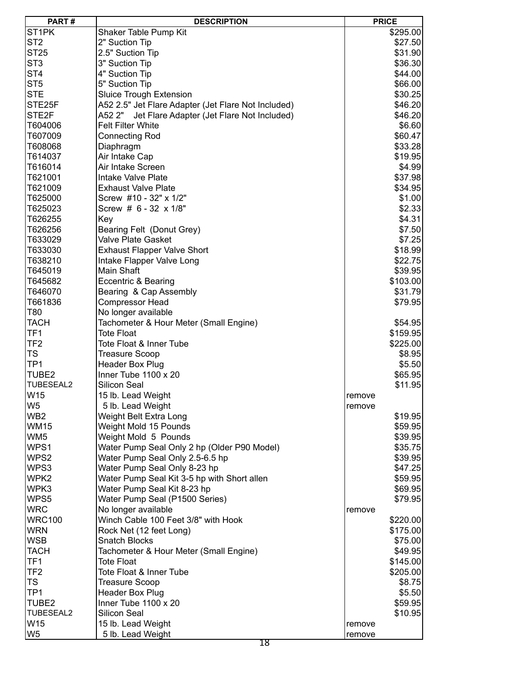| ST <sub>1</sub> PK<br>Shaker Table Pump Kit<br>\$295.00<br>ST <sub>2</sub><br>2" Suction Tip<br>\$27.50<br>ST <sub>25</sub><br>2.5" Suction Tip<br>\$31.90<br>ST <sub>3</sub><br>3" Suction Tip<br>\$36.30<br>ST <sub>4</sub><br>4" Suction Tip<br>\$44.00<br>ST <sub>5</sub><br>5" Suction Tip<br>\$66.00<br><b>STE</b><br><b>Sluice Trough Extension</b><br>\$30.25<br>A52 2.5" Jet Flare Adapter (Jet Flare Not Included)<br>STE25F<br>\$46.20<br>STE <sub>2F</sub><br>A52 2"<br>Jet Flare Adapter (Jet Flare Not Included)<br>\$46.20<br><b>Felt Filter White</b><br>T604006<br>\$6.60<br>T607009<br><b>Connecting Rod</b><br>\$60.47<br>T608068<br>Diaphragm<br>\$33.28<br>T614037<br>Air Intake Cap<br>\$19.95<br>T616014<br>Air Intake Screen<br>\$4.99<br>T621001<br>Intake Valve Plate<br>\$37.98<br>T621009<br><b>Exhaust Valve Plate</b><br>\$34.95<br>T625000<br>Screw #10 - 32" x 1/2"<br>\$1.00<br>\$2.33<br>T625023<br>Screw # 6 - 32 x 1/8"<br>T626255<br>Key<br>\$4.31<br>T626256<br>Bearing Felt (Donut Grey)<br>\$7.50<br>Valve Plate Gasket<br>T633029<br>\$7.25<br>T633030<br><b>Exhaust Flapper Valve Short</b><br>\$18.99<br>T638210<br>Intake Flapper Valve Long<br>\$22.75<br>Main Shaft<br>T645019<br>\$39.95<br>T645682<br>Eccentric & Bearing<br>\$103.00<br>T646070<br>Bearing & Cap Assembly<br>\$31.79<br><b>Compressor Head</b><br>T661836<br>\$79.95<br>T80<br>No longer available<br><b>TACH</b><br>Tachometer & Hour Meter (Small Engine)<br>\$54.95<br>TF <sub>1</sub><br>Tote Float<br>\$159.95<br>TF <sub>2</sub><br>Tote Float & Inner Tube<br>\$225.00<br><b>TS</b><br><b>Treasure Scoop</b><br>\$8.95<br>TP <sub>1</sub><br>Header Box Plug<br>\$5.50<br>TUBE2<br>Inner Tube $1100 \times 20$<br>\$65.95<br>TUBESEAL2<br>Silicon Seal<br>\$11.95<br>W15<br>15 lb. Lead Weight<br>remove<br>W5<br>5 lb. Lead Weight<br>remove<br>WB <sub>2</sub><br>\$19.95<br>Weight Belt Extra Long<br><b>WM15</b><br>Weight Mold 15 Pounds<br>\$59.95<br>WM <sub>5</sub><br>Weight Mold 5 Pounds<br>\$39.95<br>WPS1<br>Water Pump Seal Only 2 hp (Older P90 Model)<br>\$35.75<br>WPS2<br>Water Pump Seal Only 2.5-6.5 hp<br>\$39.95<br>WPS3<br>Water Pump Seal Only 8-23 hp<br>\$47.25<br>WPK2<br>Water Pump Seal Kit 3-5 hp with Short allen<br>\$59.95<br>WPK3<br>Water Pump Seal Kit 8-23 hp<br>\$69.95<br>WPS5<br>Water Pump Seal (P1500 Series)<br>\$79.95<br><b>WRC</b><br>No longer available<br>remove<br><b>WRC100</b><br>Winch Cable 100 Feet 3/8" with Hook<br>\$220.00<br><b>WRN</b><br>Rock Net (12 feet Long)<br>\$175.00<br><b>WSB</b><br>Snatch Blocks<br>\$75.00<br><b>TACH</b><br>Tachometer & Hour Meter (Small Engine)<br>\$49.95<br>TF <sub>1</sub><br>Tote Float<br>\$145.00<br>TF <sub>2</sub><br>Tote Float & Inner Tube<br>\$205.00<br><b>TS</b><br>Treasure Scoop<br>\$8.75<br>TP <sub>1</sub><br>\$5.50<br>Header Box Plug<br>TUBE2<br>Inner Tube $1100 \times 20$<br>\$59.95<br><b>TUBESEAL2</b><br>Silicon Seal<br>\$10.95<br>W15<br>15 lb. Lead Weight<br>remove<br>W <sub>5</sub><br>5 lb. Lead Weight<br>remove | PART# | <b>DESCRIPTION</b> | <b>PRICE</b> |
|----------------------------------------------------------------------------------------------------------------------------------------------------------------------------------------------------------------------------------------------------------------------------------------------------------------------------------------------------------------------------------------------------------------------------------------------------------------------------------------------------------------------------------------------------------------------------------------------------------------------------------------------------------------------------------------------------------------------------------------------------------------------------------------------------------------------------------------------------------------------------------------------------------------------------------------------------------------------------------------------------------------------------------------------------------------------------------------------------------------------------------------------------------------------------------------------------------------------------------------------------------------------------------------------------------------------------------------------------------------------------------------------------------------------------------------------------------------------------------------------------------------------------------------------------------------------------------------------------------------------------------------------------------------------------------------------------------------------------------------------------------------------------------------------------------------------------------------------------------------------------------------------------------------------------------------------------------------------------------------------------------------------------------------------------------------------------------------------------------------------------------------------------------------------------------------------------------------------------------------------------------------------------------------------------------------------------------------------------------------------------------------------------------------------------------------------------------------------------------------------------------------------------------------------------------------------------------------------------------------------------------------------------------------------------------------------------------------------------------------------------------------------------------------------------------------------------------------------------------------------------------------------------------------------------------------------------------------------------------------------------------------------------------------------------------------------------|-------|--------------------|--------------|
|                                                                                                                                                                                                                                                                                                                                                                                                                                                                                                                                                                                                                                                                                                                                                                                                                                                                                                                                                                                                                                                                                                                                                                                                                                                                                                                                                                                                                                                                                                                                                                                                                                                                                                                                                                                                                                                                                                                                                                                                                                                                                                                                                                                                                                                                                                                                                                                                                                                                                                                                                                                                                                                                                                                                                                                                                                                                                                                                                                                                                                                                            |       |                    |              |
|                                                                                                                                                                                                                                                                                                                                                                                                                                                                                                                                                                                                                                                                                                                                                                                                                                                                                                                                                                                                                                                                                                                                                                                                                                                                                                                                                                                                                                                                                                                                                                                                                                                                                                                                                                                                                                                                                                                                                                                                                                                                                                                                                                                                                                                                                                                                                                                                                                                                                                                                                                                                                                                                                                                                                                                                                                                                                                                                                                                                                                                                            |       |                    |              |
|                                                                                                                                                                                                                                                                                                                                                                                                                                                                                                                                                                                                                                                                                                                                                                                                                                                                                                                                                                                                                                                                                                                                                                                                                                                                                                                                                                                                                                                                                                                                                                                                                                                                                                                                                                                                                                                                                                                                                                                                                                                                                                                                                                                                                                                                                                                                                                                                                                                                                                                                                                                                                                                                                                                                                                                                                                                                                                                                                                                                                                                                            |       |                    |              |
|                                                                                                                                                                                                                                                                                                                                                                                                                                                                                                                                                                                                                                                                                                                                                                                                                                                                                                                                                                                                                                                                                                                                                                                                                                                                                                                                                                                                                                                                                                                                                                                                                                                                                                                                                                                                                                                                                                                                                                                                                                                                                                                                                                                                                                                                                                                                                                                                                                                                                                                                                                                                                                                                                                                                                                                                                                                                                                                                                                                                                                                                            |       |                    |              |
|                                                                                                                                                                                                                                                                                                                                                                                                                                                                                                                                                                                                                                                                                                                                                                                                                                                                                                                                                                                                                                                                                                                                                                                                                                                                                                                                                                                                                                                                                                                                                                                                                                                                                                                                                                                                                                                                                                                                                                                                                                                                                                                                                                                                                                                                                                                                                                                                                                                                                                                                                                                                                                                                                                                                                                                                                                                                                                                                                                                                                                                                            |       |                    |              |
|                                                                                                                                                                                                                                                                                                                                                                                                                                                                                                                                                                                                                                                                                                                                                                                                                                                                                                                                                                                                                                                                                                                                                                                                                                                                                                                                                                                                                                                                                                                                                                                                                                                                                                                                                                                                                                                                                                                                                                                                                                                                                                                                                                                                                                                                                                                                                                                                                                                                                                                                                                                                                                                                                                                                                                                                                                                                                                                                                                                                                                                                            |       |                    |              |
|                                                                                                                                                                                                                                                                                                                                                                                                                                                                                                                                                                                                                                                                                                                                                                                                                                                                                                                                                                                                                                                                                                                                                                                                                                                                                                                                                                                                                                                                                                                                                                                                                                                                                                                                                                                                                                                                                                                                                                                                                                                                                                                                                                                                                                                                                                                                                                                                                                                                                                                                                                                                                                                                                                                                                                                                                                                                                                                                                                                                                                                                            |       |                    |              |
|                                                                                                                                                                                                                                                                                                                                                                                                                                                                                                                                                                                                                                                                                                                                                                                                                                                                                                                                                                                                                                                                                                                                                                                                                                                                                                                                                                                                                                                                                                                                                                                                                                                                                                                                                                                                                                                                                                                                                                                                                                                                                                                                                                                                                                                                                                                                                                                                                                                                                                                                                                                                                                                                                                                                                                                                                                                                                                                                                                                                                                                                            |       |                    |              |
|                                                                                                                                                                                                                                                                                                                                                                                                                                                                                                                                                                                                                                                                                                                                                                                                                                                                                                                                                                                                                                                                                                                                                                                                                                                                                                                                                                                                                                                                                                                                                                                                                                                                                                                                                                                                                                                                                                                                                                                                                                                                                                                                                                                                                                                                                                                                                                                                                                                                                                                                                                                                                                                                                                                                                                                                                                                                                                                                                                                                                                                                            |       |                    |              |
|                                                                                                                                                                                                                                                                                                                                                                                                                                                                                                                                                                                                                                                                                                                                                                                                                                                                                                                                                                                                                                                                                                                                                                                                                                                                                                                                                                                                                                                                                                                                                                                                                                                                                                                                                                                                                                                                                                                                                                                                                                                                                                                                                                                                                                                                                                                                                                                                                                                                                                                                                                                                                                                                                                                                                                                                                                                                                                                                                                                                                                                                            |       |                    |              |
|                                                                                                                                                                                                                                                                                                                                                                                                                                                                                                                                                                                                                                                                                                                                                                                                                                                                                                                                                                                                                                                                                                                                                                                                                                                                                                                                                                                                                                                                                                                                                                                                                                                                                                                                                                                                                                                                                                                                                                                                                                                                                                                                                                                                                                                                                                                                                                                                                                                                                                                                                                                                                                                                                                                                                                                                                                                                                                                                                                                                                                                                            |       |                    |              |
|                                                                                                                                                                                                                                                                                                                                                                                                                                                                                                                                                                                                                                                                                                                                                                                                                                                                                                                                                                                                                                                                                                                                                                                                                                                                                                                                                                                                                                                                                                                                                                                                                                                                                                                                                                                                                                                                                                                                                                                                                                                                                                                                                                                                                                                                                                                                                                                                                                                                                                                                                                                                                                                                                                                                                                                                                                                                                                                                                                                                                                                                            |       |                    |              |
|                                                                                                                                                                                                                                                                                                                                                                                                                                                                                                                                                                                                                                                                                                                                                                                                                                                                                                                                                                                                                                                                                                                                                                                                                                                                                                                                                                                                                                                                                                                                                                                                                                                                                                                                                                                                                                                                                                                                                                                                                                                                                                                                                                                                                                                                                                                                                                                                                                                                                                                                                                                                                                                                                                                                                                                                                                                                                                                                                                                                                                                                            |       |                    |              |
|                                                                                                                                                                                                                                                                                                                                                                                                                                                                                                                                                                                                                                                                                                                                                                                                                                                                                                                                                                                                                                                                                                                                                                                                                                                                                                                                                                                                                                                                                                                                                                                                                                                                                                                                                                                                                                                                                                                                                                                                                                                                                                                                                                                                                                                                                                                                                                                                                                                                                                                                                                                                                                                                                                                                                                                                                                                                                                                                                                                                                                                                            |       |                    |              |
|                                                                                                                                                                                                                                                                                                                                                                                                                                                                                                                                                                                                                                                                                                                                                                                                                                                                                                                                                                                                                                                                                                                                                                                                                                                                                                                                                                                                                                                                                                                                                                                                                                                                                                                                                                                                                                                                                                                                                                                                                                                                                                                                                                                                                                                                                                                                                                                                                                                                                                                                                                                                                                                                                                                                                                                                                                                                                                                                                                                                                                                                            |       |                    |              |
|                                                                                                                                                                                                                                                                                                                                                                                                                                                                                                                                                                                                                                                                                                                                                                                                                                                                                                                                                                                                                                                                                                                                                                                                                                                                                                                                                                                                                                                                                                                                                                                                                                                                                                                                                                                                                                                                                                                                                                                                                                                                                                                                                                                                                                                                                                                                                                                                                                                                                                                                                                                                                                                                                                                                                                                                                                                                                                                                                                                                                                                                            |       |                    |              |
|                                                                                                                                                                                                                                                                                                                                                                                                                                                                                                                                                                                                                                                                                                                                                                                                                                                                                                                                                                                                                                                                                                                                                                                                                                                                                                                                                                                                                                                                                                                                                                                                                                                                                                                                                                                                                                                                                                                                                                                                                                                                                                                                                                                                                                                                                                                                                                                                                                                                                                                                                                                                                                                                                                                                                                                                                                                                                                                                                                                                                                                                            |       |                    |              |
|                                                                                                                                                                                                                                                                                                                                                                                                                                                                                                                                                                                                                                                                                                                                                                                                                                                                                                                                                                                                                                                                                                                                                                                                                                                                                                                                                                                                                                                                                                                                                                                                                                                                                                                                                                                                                                                                                                                                                                                                                                                                                                                                                                                                                                                                                                                                                                                                                                                                                                                                                                                                                                                                                                                                                                                                                                                                                                                                                                                                                                                                            |       |                    |              |
|                                                                                                                                                                                                                                                                                                                                                                                                                                                                                                                                                                                                                                                                                                                                                                                                                                                                                                                                                                                                                                                                                                                                                                                                                                                                                                                                                                                                                                                                                                                                                                                                                                                                                                                                                                                                                                                                                                                                                                                                                                                                                                                                                                                                                                                                                                                                                                                                                                                                                                                                                                                                                                                                                                                                                                                                                                                                                                                                                                                                                                                                            |       |                    |              |
|                                                                                                                                                                                                                                                                                                                                                                                                                                                                                                                                                                                                                                                                                                                                                                                                                                                                                                                                                                                                                                                                                                                                                                                                                                                                                                                                                                                                                                                                                                                                                                                                                                                                                                                                                                                                                                                                                                                                                                                                                                                                                                                                                                                                                                                                                                                                                                                                                                                                                                                                                                                                                                                                                                                                                                                                                                                                                                                                                                                                                                                                            |       |                    |              |
|                                                                                                                                                                                                                                                                                                                                                                                                                                                                                                                                                                                                                                                                                                                                                                                                                                                                                                                                                                                                                                                                                                                                                                                                                                                                                                                                                                                                                                                                                                                                                                                                                                                                                                                                                                                                                                                                                                                                                                                                                                                                                                                                                                                                                                                                                                                                                                                                                                                                                                                                                                                                                                                                                                                                                                                                                                                                                                                                                                                                                                                                            |       |                    |              |
|                                                                                                                                                                                                                                                                                                                                                                                                                                                                                                                                                                                                                                                                                                                                                                                                                                                                                                                                                                                                                                                                                                                                                                                                                                                                                                                                                                                                                                                                                                                                                                                                                                                                                                                                                                                                                                                                                                                                                                                                                                                                                                                                                                                                                                                                                                                                                                                                                                                                                                                                                                                                                                                                                                                                                                                                                                                                                                                                                                                                                                                                            |       |                    |              |
|                                                                                                                                                                                                                                                                                                                                                                                                                                                                                                                                                                                                                                                                                                                                                                                                                                                                                                                                                                                                                                                                                                                                                                                                                                                                                                                                                                                                                                                                                                                                                                                                                                                                                                                                                                                                                                                                                                                                                                                                                                                                                                                                                                                                                                                                                                                                                                                                                                                                                                                                                                                                                                                                                                                                                                                                                                                                                                                                                                                                                                                                            |       |                    |              |
|                                                                                                                                                                                                                                                                                                                                                                                                                                                                                                                                                                                                                                                                                                                                                                                                                                                                                                                                                                                                                                                                                                                                                                                                                                                                                                                                                                                                                                                                                                                                                                                                                                                                                                                                                                                                                                                                                                                                                                                                                                                                                                                                                                                                                                                                                                                                                                                                                                                                                                                                                                                                                                                                                                                                                                                                                                                                                                                                                                                                                                                                            |       |                    |              |
|                                                                                                                                                                                                                                                                                                                                                                                                                                                                                                                                                                                                                                                                                                                                                                                                                                                                                                                                                                                                                                                                                                                                                                                                                                                                                                                                                                                                                                                                                                                                                                                                                                                                                                                                                                                                                                                                                                                                                                                                                                                                                                                                                                                                                                                                                                                                                                                                                                                                                                                                                                                                                                                                                                                                                                                                                                                                                                                                                                                                                                                                            |       |                    |              |
|                                                                                                                                                                                                                                                                                                                                                                                                                                                                                                                                                                                                                                                                                                                                                                                                                                                                                                                                                                                                                                                                                                                                                                                                                                                                                                                                                                                                                                                                                                                                                                                                                                                                                                                                                                                                                                                                                                                                                                                                                                                                                                                                                                                                                                                                                                                                                                                                                                                                                                                                                                                                                                                                                                                                                                                                                                                                                                                                                                                                                                                                            |       |                    |              |
|                                                                                                                                                                                                                                                                                                                                                                                                                                                                                                                                                                                                                                                                                                                                                                                                                                                                                                                                                                                                                                                                                                                                                                                                                                                                                                                                                                                                                                                                                                                                                                                                                                                                                                                                                                                                                                                                                                                                                                                                                                                                                                                                                                                                                                                                                                                                                                                                                                                                                                                                                                                                                                                                                                                                                                                                                                                                                                                                                                                                                                                                            |       |                    |              |
|                                                                                                                                                                                                                                                                                                                                                                                                                                                                                                                                                                                                                                                                                                                                                                                                                                                                                                                                                                                                                                                                                                                                                                                                                                                                                                                                                                                                                                                                                                                                                                                                                                                                                                                                                                                                                                                                                                                                                                                                                                                                                                                                                                                                                                                                                                                                                                                                                                                                                                                                                                                                                                                                                                                                                                                                                                                                                                                                                                                                                                                                            |       |                    |              |
|                                                                                                                                                                                                                                                                                                                                                                                                                                                                                                                                                                                                                                                                                                                                                                                                                                                                                                                                                                                                                                                                                                                                                                                                                                                                                                                                                                                                                                                                                                                                                                                                                                                                                                                                                                                                                                                                                                                                                                                                                                                                                                                                                                                                                                                                                                                                                                                                                                                                                                                                                                                                                                                                                                                                                                                                                                                                                                                                                                                                                                                                            |       |                    |              |
|                                                                                                                                                                                                                                                                                                                                                                                                                                                                                                                                                                                                                                                                                                                                                                                                                                                                                                                                                                                                                                                                                                                                                                                                                                                                                                                                                                                                                                                                                                                                                                                                                                                                                                                                                                                                                                                                                                                                                                                                                                                                                                                                                                                                                                                                                                                                                                                                                                                                                                                                                                                                                                                                                                                                                                                                                                                                                                                                                                                                                                                                            |       |                    |              |
|                                                                                                                                                                                                                                                                                                                                                                                                                                                                                                                                                                                                                                                                                                                                                                                                                                                                                                                                                                                                                                                                                                                                                                                                                                                                                                                                                                                                                                                                                                                                                                                                                                                                                                                                                                                                                                                                                                                                                                                                                                                                                                                                                                                                                                                                                                                                                                                                                                                                                                                                                                                                                                                                                                                                                                                                                                                                                                                                                                                                                                                                            |       |                    |              |
|                                                                                                                                                                                                                                                                                                                                                                                                                                                                                                                                                                                                                                                                                                                                                                                                                                                                                                                                                                                                                                                                                                                                                                                                                                                                                                                                                                                                                                                                                                                                                                                                                                                                                                                                                                                                                                                                                                                                                                                                                                                                                                                                                                                                                                                                                                                                                                                                                                                                                                                                                                                                                                                                                                                                                                                                                                                                                                                                                                                                                                                                            |       |                    |              |
|                                                                                                                                                                                                                                                                                                                                                                                                                                                                                                                                                                                                                                                                                                                                                                                                                                                                                                                                                                                                                                                                                                                                                                                                                                                                                                                                                                                                                                                                                                                                                                                                                                                                                                                                                                                                                                                                                                                                                                                                                                                                                                                                                                                                                                                                                                                                                                                                                                                                                                                                                                                                                                                                                                                                                                                                                                                                                                                                                                                                                                                                            |       |                    |              |
|                                                                                                                                                                                                                                                                                                                                                                                                                                                                                                                                                                                                                                                                                                                                                                                                                                                                                                                                                                                                                                                                                                                                                                                                                                                                                                                                                                                                                                                                                                                                                                                                                                                                                                                                                                                                                                                                                                                                                                                                                                                                                                                                                                                                                                                                                                                                                                                                                                                                                                                                                                                                                                                                                                                                                                                                                                                                                                                                                                                                                                                                            |       |                    |              |
|                                                                                                                                                                                                                                                                                                                                                                                                                                                                                                                                                                                                                                                                                                                                                                                                                                                                                                                                                                                                                                                                                                                                                                                                                                                                                                                                                                                                                                                                                                                                                                                                                                                                                                                                                                                                                                                                                                                                                                                                                                                                                                                                                                                                                                                                                                                                                                                                                                                                                                                                                                                                                                                                                                                                                                                                                                                                                                                                                                                                                                                                            |       |                    |              |
|                                                                                                                                                                                                                                                                                                                                                                                                                                                                                                                                                                                                                                                                                                                                                                                                                                                                                                                                                                                                                                                                                                                                                                                                                                                                                                                                                                                                                                                                                                                                                                                                                                                                                                                                                                                                                                                                                                                                                                                                                                                                                                                                                                                                                                                                                                                                                                                                                                                                                                                                                                                                                                                                                                                                                                                                                                                                                                                                                                                                                                                                            |       |                    |              |
|                                                                                                                                                                                                                                                                                                                                                                                                                                                                                                                                                                                                                                                                                                                                                                                                                                                                                                                                                                                                                                                                                                                                                                                                                                                                                                                                                                                                                                                                                                                                                                                                                                                                                                                                                                                                                                                                                                                                                                                                                                                                                                                                                                                                                                                                                                                                                                                                                                                                                                                                                                                                                                                                                                                                                                                                                                                                                                                                                                                                                                                                            |       |                    |              |
|                                                                                                                                                                                                                                                                                                                                                                                                                                                                                                                                                                                                                                                                                                                                                                                                                                                                                                                                                                                                                                                                                                                                                                                                                                                                                                                                                                                                                                                                                                                                                                                                                                                                                                                                                                                                                                                                                                                                                                                                                                                                                                                                                                                                                                                                                                                                                                                                                                                                                                                                                                                                                                                                                                                                                                                                                                                                                                                                                                                                                                                                            |       |                    |              |
|                                                                                                                                                                                                                                                                                                                                                                                                                                                                                                                                                                                                                                                                                                                                                                                                                                                                                                                                                                                                                                                                                                                                                                                                                                                                                                                                                                                                                                                                                                                                                                                                                                                                                                                                                                                                                                                                                                                                                                                                                                                                                                                                                                                                                                                                                                                                                                                                                                                                                                                                                                                                                                                                                                                                                                                                                                                                                                                                                                                                                                                                            |       |                    |              |
|                                                                                                                                                                                                                                                                                                                                                                                                                                                                                                                                                                                                                                                                                                                                                                                                                                                                                                                                                                                                                                                                                                                                                                                                                                                                                                                                                                                                                                                                                                                                                                                                                                                                                                                                                                                                                                                                                                                                                                                                                                                                                                                                                                                                                                                                                                                                                                                                                                                                                                                                                                                                                                                                                                                                                                                                                                                                                                                                                                                                                                                                            |       |                    |              |
|                                                                                                                                                                                                                                                                                                                                                                                                                                                                                                                                                                                                                                                                                                                                                                                                                                                                                                                                                                                                                                                                                                                                                                                                                                                                                                                                                                                                                                                                                                                                                                                                                                                                                                                                                                                                                                                                                                                                                                                                                                                                                                                                                                                                                                                                                                                                                                                                                                                                                                                                                                                                                                                                                                                                                                                                                                                                                                                                                                                                                                                                            |       |                    |              |
|                                                                                                                                                                                                                                                                                                                                                                                                                                                                                                                                                                                                                                                                                                                                                                                                                                                                                                                                                                                                                                                                                                                                                                                                                                                                                                                                                                                                                                                                                                                                                                                                                                                                                                                                                                                                                                                                                                                                                                                                                                                                                                                                                                                                                                                                                                                                                                                                                                                                                                                                                                                                                                                                                                                                                                                                                                                                                                                                                                                                                                                                            |       |                    |              |
|                                                                                                                                                                                                                                                                                                                                                                                                                                                                                                                                                                                                                                                                                                                                                                                                                                                                                                                                                                                                                                                                                                                                                                                                                                                                                                                                                                                                                                                                                                                                                                                                                                                                                                                                                                                                                                                                                                                                                                                                                                                                                                                                                                                                                                                                                                                                                                                                                                                                                                                                                                                                                                                                                                                                                                                                                                                                                                                                                                                                                                                                            |       |                    |              |
|                                                                                                                                                                                                                                                                                                                                                                                                                                                                                                                                                                                                                                                                                                                                                                                                                                                                                                                                                                                                                                                                                                                                                                                                                                                                                                                                                                                                                                                                                                                                                                                                                                                                                                                                                                                                                                                                                                                                                                                                                                                                                                                                                                                                                                                                                                                                                                                                                                                                                                                                                                                                                                                                                                                                                                                                                                                                                                                                                                                                                                                                            |       |                    |              |
|                                                                                                                                                                                                                                                                                                                                                                                                                                                                                                                                                                                                                                                                                                                                                                                                                                                                                                                                                                                                                                                                                                                                                                                                                                                                                                                                                                                                                                                                                                                                                                                                                                                                                                                                                                                                                                                                                                                                                                                                                                                                                                                                                                                                                                                                                                                                                                                                                                                                                                                                                                                                                                                                                                                                                                                                                                                                                                                                                                                                                                                                            |       |                    |              |
|                                                                                                                                                                                                                                                                                                                                                                                                                                                                                                                                                                                                                                                                                                                                                                                                                                                                                                                                                                                                                                                                                                                                                                                                                                                                                                                                                                                                                                                                                                                                                                                                                                                                                                                                                                                                                                                                                                                                                                                                                                                                                                                                                                                                                                                                                                                                                                                                                                                                                                                                                                                                                                                                                                                                                                                                                                                                                                                                                                                                                                                                            |       |                    |              |
|                                                                                                                                                                                                                                                                                                                                                                                                                                                                                                                                                                                                                                                                                                                                                                                                                                                                                                                                                                                                                                                                                                                                                                                                                                                                                                                                                                                                                                                                                                                                                                                                                                                                                                                                                                                                                                                                                                                                                                                                                                                                                                                                                                                                                                                                                                                                                                                                                                                                                                                                                                                                                                                                                                                                                                                                                                                                                                                                                                                                                                                                            |       |                    |              |
|                                                                                                                                                                                                                                                                                                                                                                                                                                                                                                                                                                                                                                                                                                                                                                                                                                                                                                                                                                                                                                                                                                                                                                                                                                                                                                                                                                                                                                                                                                                                                                                                                                                                                                                                                                                                                                                                                                                                                                                                                                                                                                                                                                                                                                                                                                                                                                                                                                                                                                                                                                                                                                                                                                                                                                                                                                                                                                                                                                                                                                                                            |       |                    |              |
|                                                                                                                                                                                                                                                                                                                                                                                                                                                                                                                                                                                                                                                                                                                                                                                                                                                                                                                                                                                                                                                                                                                                                                                                                                                                                                                                                                                                                                                                                                                                                                                                                                                                                                                                                                                                                                                                                                                                                                                                                                                                                                                                                                                                                                                                                                                                                                                                                                                                                                                                                                                                                                                                                                                                                                                                                                                                                                                                                                                                                                                                            |       |                    |              |
|                                                                                                                                                                                                                                                                                                                                                                                                                                                                                                                                                                                                                                                                                                                                                                                                                                                                                                                                                                                                                                                                                                                                                                                                                                                                                                                                                                                                                                                                                                                                                                                                                                                                                                                                                                                                                                                                                                                                                                                                                                                                                                                                                                                                                                                                                                                                                                                                                                                                                                                                                                                                                                                                                                                                                                                                                                                                                                                                                                                                                                                                            |       |                    |              |
|                                                                                                                                                                                                                                                                                                                                                                                                                                                                                                                                                                                                                                                                                                                                                                                                                                                                                                                                                                                                                                                                                                                                                                                                                                                                                                                                                                                                                                                                                                                                                                                                                                                                                                                                                                                                                                                                                                                                                                                                                                                                                                                                                                                                                                                                                                                                                                                                                                                                                                                                                                                                                                                                                                                                                                                                                                                                                                                                                                                                                                                                            |       |                    |              |
|                                                                                                                                                                                                                                                                                                                                                                                                                                                                                                                                                                                                                                                                                                                                                                                                                                                                                                                                                                                                                                                                                                                                                                                                                                                                                                                                                                                                                                                                                                                                                                                                                                                                                                                                                                                                                                                                                                                                                                                                                                                                                                                                                                                                                                                                                                                                                                                                                                                                                                                                                                                                                                                                                                                                                                                                                                                                                                                                                                                                                                                                            |       |                    |              |
|                                                                                                                                                                                                                                                                                                                                                                                                                                                                                                                                                                                                                                                                                                                                                                                                                                                                                                                                                                                                                                                                                                                                                                                                                                                                                                                                                                                                                                                                                                                                                                                                                                                                                                                                                                                                                                                                                                                                                                                                                                                                                                                                                                                                                                                                                                                                                                                                                                                                                                                                                                                                                                                                                                                                                                                                                                                                                                                                                                                                                                                                            |       |                    |              |
|                                                                                                                                                                                                                                                                                                                                                                                                                                                                                                                                                                                                                                                                                                                                                                                                                                                                                                                                                                                                                                                                                                                                                                                                                                                                                                                                                                                                                                                                                                                                                                                                                                                                                                                                                                                                                                                                                                                                                                                                                                                                                                                                                                                                                                                                                                                                                                                                                                                                                                                                                                                                                                                                                                                                                                                                                                                                                                                                                                                                                                                                            |       |                    |              |
|                                                                                                                                                                                                                                                                                                                                                                                                                                                                                                                                                                                                                                                                                                                                                                                                                                                                                                                                                                                                                                                                                                                                                                                                                                                                                                                                                                                                                                                                                                                                                                                                                                                                                                                                                                                                                                                                                                                                                                                                                                                                                                                                                                                                                                                                                                                                                                                                                                                                                                                                                                                                                                                                                                                                                                                                                                                                                                                                                                                                                                                                            |       |                    |              |
|                                                                                                                                                                                                                                                                                                                                                                                                                                                                                                                                                                                                                                                                                                                                                                                                                                                                                                                                                                                                                                                                                                                                                                                                                                                                                                                                                                                                                                                                                                                                                                                                                                                                                                                                                                                                                                                                                                                                                                                                                                                                                                                                                                                                                                                                                                                                                                                                                                                                                                                                                                                                                                                                                                                                                                                                                                                                                                                                                                                                                                                                            |       |                    |              |
|                                                                                                                                                                                                                                                                                                                                                                                                                                                                                                                                                                                                                                                                                                                                                                                                                                                                                                                                                                                                                                                                                                                                                                                                                                                                                                                                                                                                                                                                                                                                                                                                                                                                                                                                                                                                                                                                                                                                                                                                                                                                                                                                                                                                                                                                                                                                                                                                                                                                                                                                                                                                                                                                                                                                                                                                                                                                                                                                                                                                                                                                            |       |                    |              |
|                                                                                                                                                                                                                                                                                                                                                                                                                                                                                                                                                                                                                                                                                                                                                                                                                                                                                                                                                                                                                                                                                                                                                                                                                                                                                                                                                                                                                                                                                                                                                                                                                                                                                                                                                                                                                                                                                                                                                                                                                                                                                                                                                                                                                                                                                                                                                                                                                                                                                                                                                                                                                                                                                                                                                                                                                                                                                                                                                                                                                                                                            |       |                    |              |
|                                                                                                                                                                                                                                                                                                                                                                                                                                                                                                                                                                                                                                                                                                                                                                                                                                                                                                                                                                                                                                                                                                                                                                                                                                                                                                                                                                                                                                                                                                                                                                                                                                                                                                                                                                                                                                                                                                                                                                                                                                                                                                                                                                                                                                                                                                                                                                                                                                                                                                                                                                                                                                                                                                                                                                                                                                                                                                                                                                                                                                                                            |       |                    |              |
|                                                                                                                                                                                                                                                                                                                                                                                                                                                                                                                                                                                                                                                                                                                                                                                                                                                                                                                                                                                                                                                                                                                                                                                                                                                                                                                                                                                                                                                                                                                                                                                                                                                                                                                                                                                                                                                                                                                                                                                                                                                                                                                                                                                                                                                                                                                                                                                                                                                                                                                                                                                                                                                                                                                                                                                                                                                                                                                                                                                                                                                                            |       |                    |              |
|                                                                                                                                                                                                                                                                                                                                                                                                                                                                                                                                                                                                                                                                                                                                                                                                                                                                                                                                                                                                                                                                                                                                                                                                                                                                                                                                                                                                                                                                                                                                                                                                                                                                                                                                                                                                                                                                                                                                                                                                                                                                                                                                                                                                                                                                                                                                                                                                                                                                                                                                                                                                                                                                                                                                                                                                                                                                                                                                                                                                                                                                            |       |                    |              |